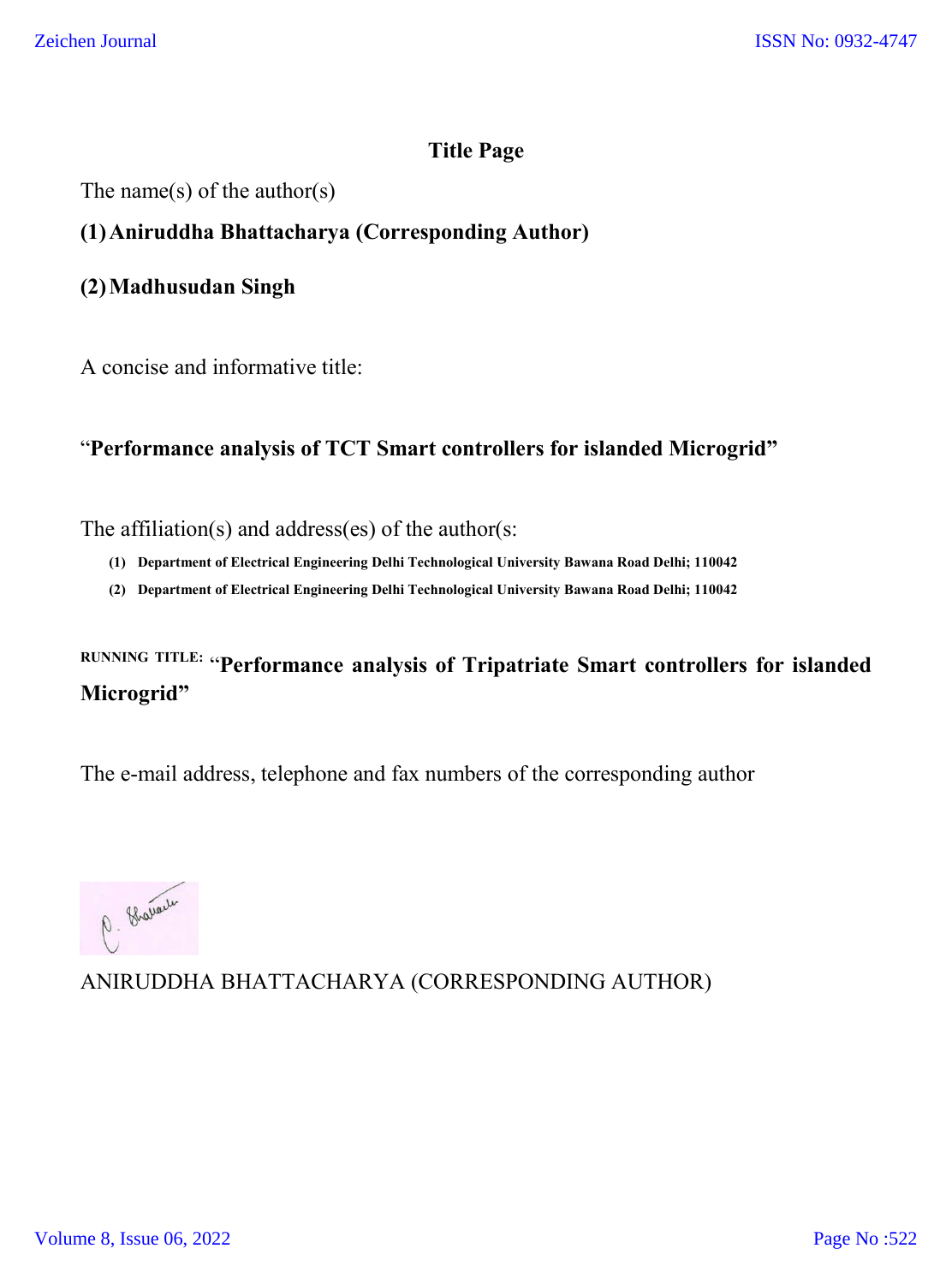### **Title Page**

The name(s) of the author(s)

## **(1)Aniruddha Bhattacharya (Corresponding Author)**

**(2)Madhusudan Singh**

A concise and informative title:

## "**Performance analysis of TCT Smart controllers for islanded Microgrid"**

The affiliation(s) and address(es) of the author(s:

- **(1) Department of Electrical Engineering Delhi Technological University Bawana Road Delhi; 110042**
- **(2) Department of Electrical Engineering Delhi Technological University Bawana Road Delhi; 110042**

## **RUNNING TITLE:** "**Performance analysis of Tripatriate Smart controllers for islanded Microgrid"**

The e-mail address, telephone and fax numbers of the corresponding author



ANIRUDDHA BHATTACHARYA (CORRESPONDING AUTHOR)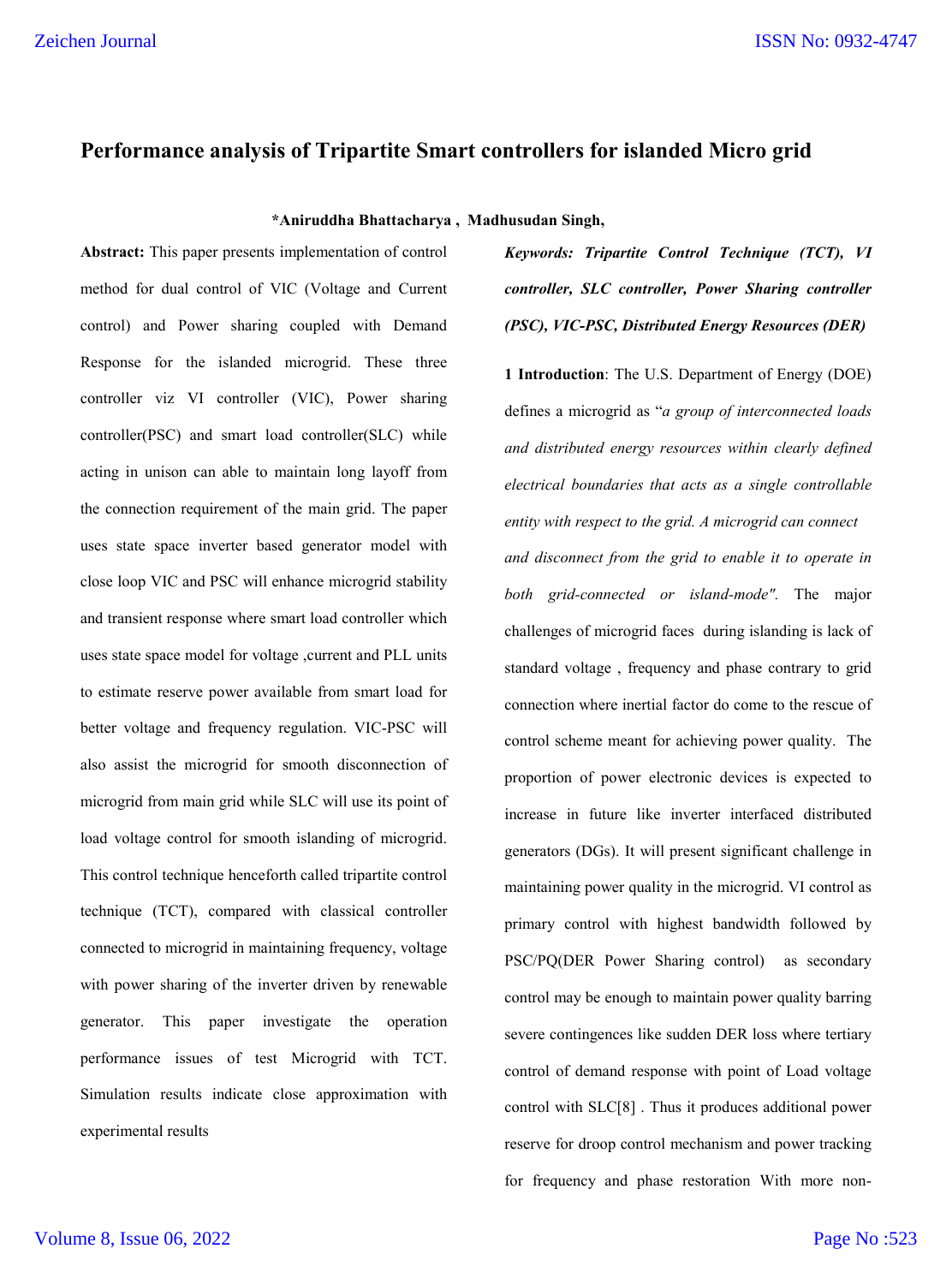#### **Performance analysis of Tripartite Smart controllers for islanded Micro grid**

 **\*Aniruddha Bhattacharya , Madhusudan Singh,** 

**Abstract:** This paper presents implementation of control method for dual control of VIC (Voltage and Current control) and Power sharing coupled with Demand Response for the islanded microgrid. These three controller viz VI controller (VIC), Power sharing controller(PSC) and smart load controller(SLC) while acting in unison can able to maintain long layoff from the connection requirement of the main grid. The paper uses state space inverter based generator model with close loop VIC and PSC will enhance microgrid stability and transient response where smart load controller which uses state space model for voltage ,current and PLL units to estimate reserve power available from smart load for better voltage and frequency regulation. VIC-PSC will also assist the microgrid for smooth disconnection of microgrid from main grid while SLC will use its point of load voltage control for smooth islanding of microgrid. This control technique henceforth called tripartite control technique (TCT), compared with classical controller connected to microgrid in maintaining frequency, voltage with power sharing of the inverter driven by renewable generator. This paper investigate the operation performance issues of test Microgrid with TCT. Simulation results indicate close approximation with experimental results

*Keywords: Tripartite Control Technique (TCT), VI controller, SLC controller, Power Sharing controller (PSC), VIC-PSC, Distributed Energy Resources (DER)*

**1 Introduction**: The U.S. Department of Energy (DOE) defines a microgrid as "*a group of interconnected loads and distributed energy resources within clearly defined electrical boundaries that acts as a single controllable entity with respect to the grid. A microgrid can connect and disconnect from the grid to enable it to operate in both grid-connected or island-mode".* The major challenges of microgrid faces during islanding is lack of standard voltage , frequency and phase contrary to grid connection where inertial factor do come to the rescue of control scheme meant for achieving power quality. The proportion of power electronic devices is expected to increase in future like inverter interfaced distributed generators (DGs). It will present significant challenge in maintaining power quality in the microgrid. VI control as primary control with highest bandwidth followed by PSC/PQ(DER Power Sharing control) as secondary control may be enough to maintain power quality barring severe contingences like sudden DER loss where tertiary control of demand response with point of Load voltage control with SLC[8] . Thus it produces additional power reserve for droop control mechanism and power tracking for frequency and phase restoration With more non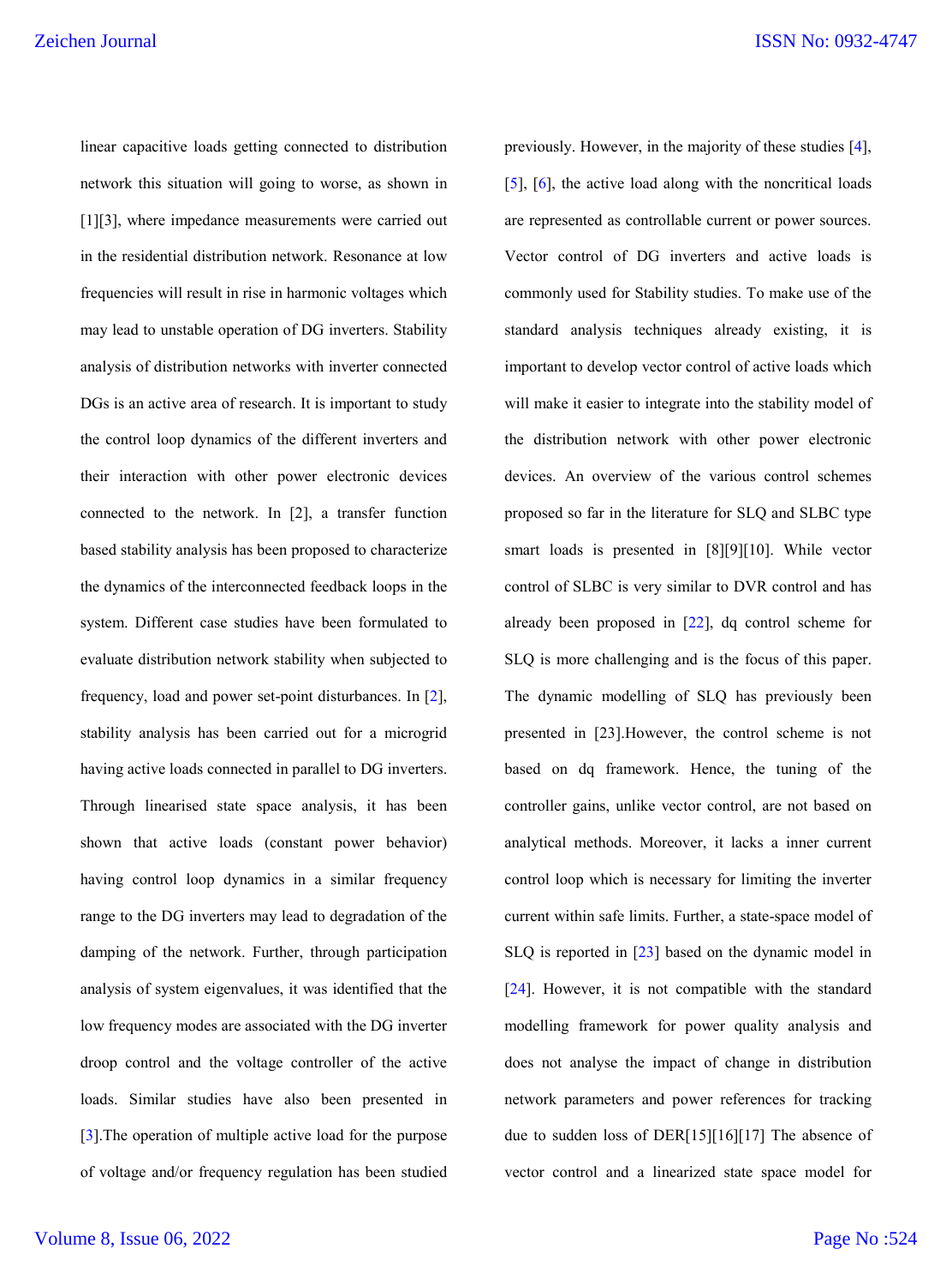linear capacitive loads getting connected to distribution network this situation will going to worse, as shown in [1][3], where impedance measurements were carried out in the residential distribution network. Resonance at low frequencies will result in rise in harmonic voltages which may lead to unstable operation of DG inverters. Stability analysis of distribution networks with inverter connected DGs is an active area of research. It is important to study the control loop dynamics of the different inverters and their interaction with other power electronic devices connected to the network. In [2], a transfer function based stability analysis has been proposed to characterize the dynamics of the interconnected feedback loops in the system. Different case studies have been formulated to evaluate distribution network stability when subjected to frequency, load and power set-point disturbances. In [2], stability analysis has been carried out for a microgrid having active loads connected in parallel to DG inverters. Through linearised state space analysis, it has been shown that active loads (constant power behavior) having control loop dynamics in a similar frequency range to the DG inverters may lead to degradation of the damping of the network. Further, through participation analysis of system eigenvalues, it was identified that the low frequency modes are associated with the DG inverter droop control and the voltage controller of the active loads. Similar studies have also been presented in [3]. The operation of multiple active load for the purpose of voltage and/or frequency regulation has been studied previously. However, in the majority of these studies [4], [5], [6], the active load along with the noncritical loads are represented as controllable current or power sources. Vector control of DG inverters and active loads is commonly used for Stability studies. To make use of the standard analysis techniques already existing, it is important to develop vector control of active loads which will make it easier to integrate into the stability model of the distribution network with other power electronic devices. An overview of the various control schemes proposed so far in the literature for SLQ and SLBC type smart loads is presented in [8][9][10]. While vector control of SLBC is very similar to DVR control and has already been proposed in [22], dq control scheme for SLQ is more challenging and is the focus of this paper. The dynamic modelling of SLQ has previously been presented in [23].However, the control scheme is not based on dq framework. Hence, the tuning of the controller gains, unlike vector control, are not based on analytical methods. Moreover, it lacks a inner current control loop which is necessary for limiting the inverter current within safe limits. Further, a state-space model of SLQ is reported in [23] based on the dynamic model in [24]. However, it is not compatible with the standard modelling framework for power quality analysis and does not analyse the impact of change in distribution network parameters and power references for tracking due to sudden loss of DER[15][16][17] The absence of vector control and a linearized state space model for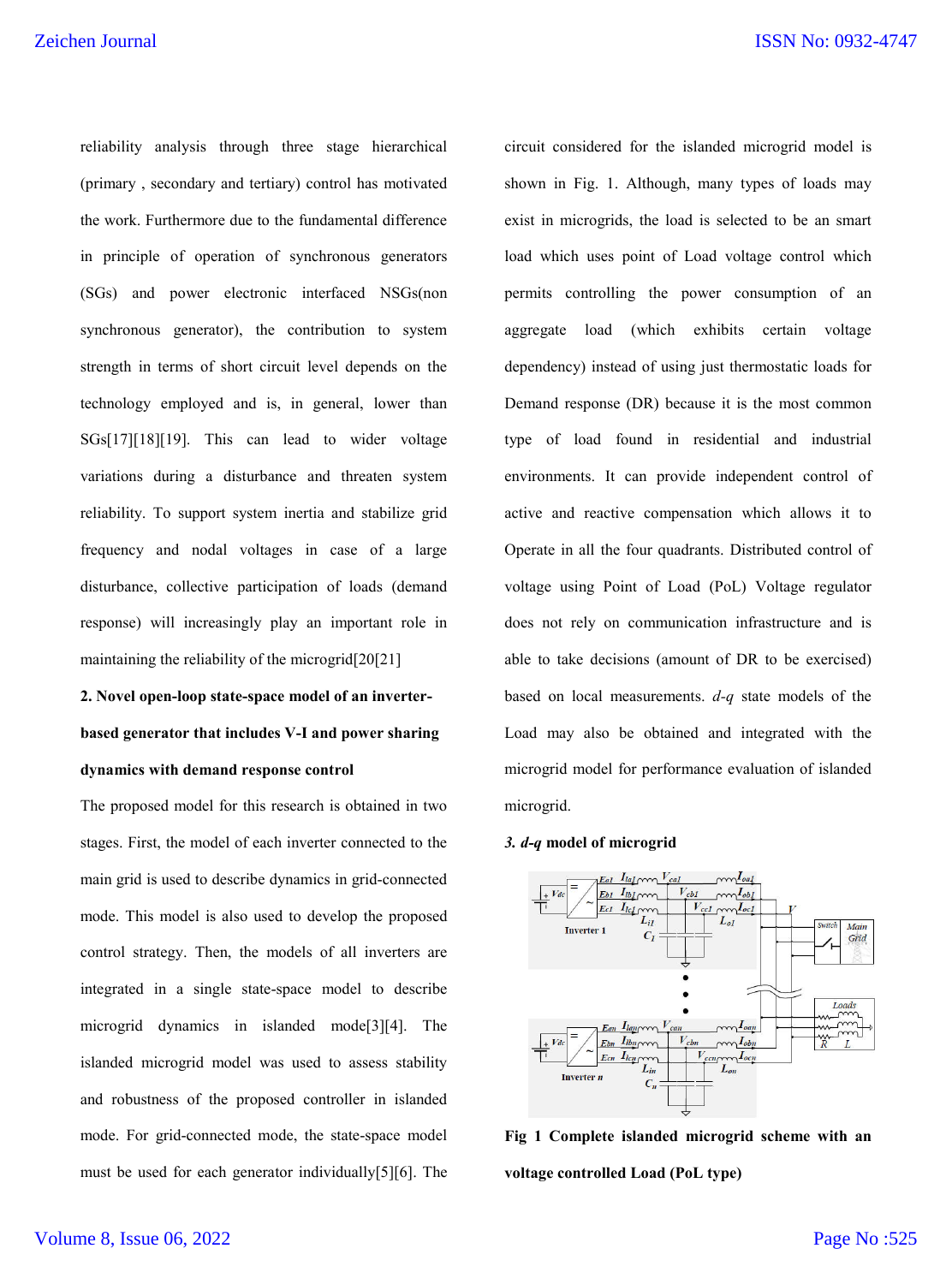reliability analysis through three stage hierarchical (primary , secondary and tertiary) control has motivated the work. Furthermore due to the fundamental difference in principle of operation of synchronous generators (SGs) and power electronic interfaced NSGs(non synchronous generator), the contribution to system strength in terms of short circuit level depends on the technology employed and is, in general, lower than SGs[17][18][19]. This can lead to wider voltage variations during a disturbance and threaten system reliability. To support system inertia and stabilize grid frequency and nodal voltages in case of a large disturbance, collective participation of loads (demand response) will increasingly play an important role in maintaining the reliability of the microgrid[20[21]

## **2. Novel open-loop state-space model of an inverterbased generator that includes V-I and power sharing dynamics with demand response control**

The proposed model for this research is obtained in two stages. First, the model of each inverter connected to the main grid is used to describe dynamics in grid-connected mode. This model is also used to develop the proposed control strategy. Then, the models of all inverters are integrated in a single state-space model to describe microgrid dynamics in islanded mode[3][4]. The islanded microgrid model was used to assess stability and robustness of the proposed controller in islanded mode. For grid-connected mode, the state-space model must be used for each generator individually[5][6]. The circuit considered for the islanded microgrid model is shown in Fig. 1. Although, many types of loads may exist in microgrids, the load is selected to be an smart load which uses point of Load voltage control which permits controlling the power consumption of an aggregate load (which exhibits certain voltage dependency) instead of using just thermostatic loads for Demand response (DR) because it is the most common type of load found in residential and industrial environments. It can provide independent control of active and reactive compensation which allows it to Operate in all the four quadrants. Distributed control of voltage using Point of Load (PoL) Voltage regulator does not rely on communication infrastructure and is able to take decisions (amount of DR to be exercised) based on local measurements. *d-q* state models of the Load may also be obtained and integrated with the microgrid model for performance evaluation of islanded microgrid.

#### *3. d-q* **model of microgrid**



**Fig 1 Complete islanded microgrid scheme with an voltage controlled Load (PoL type)**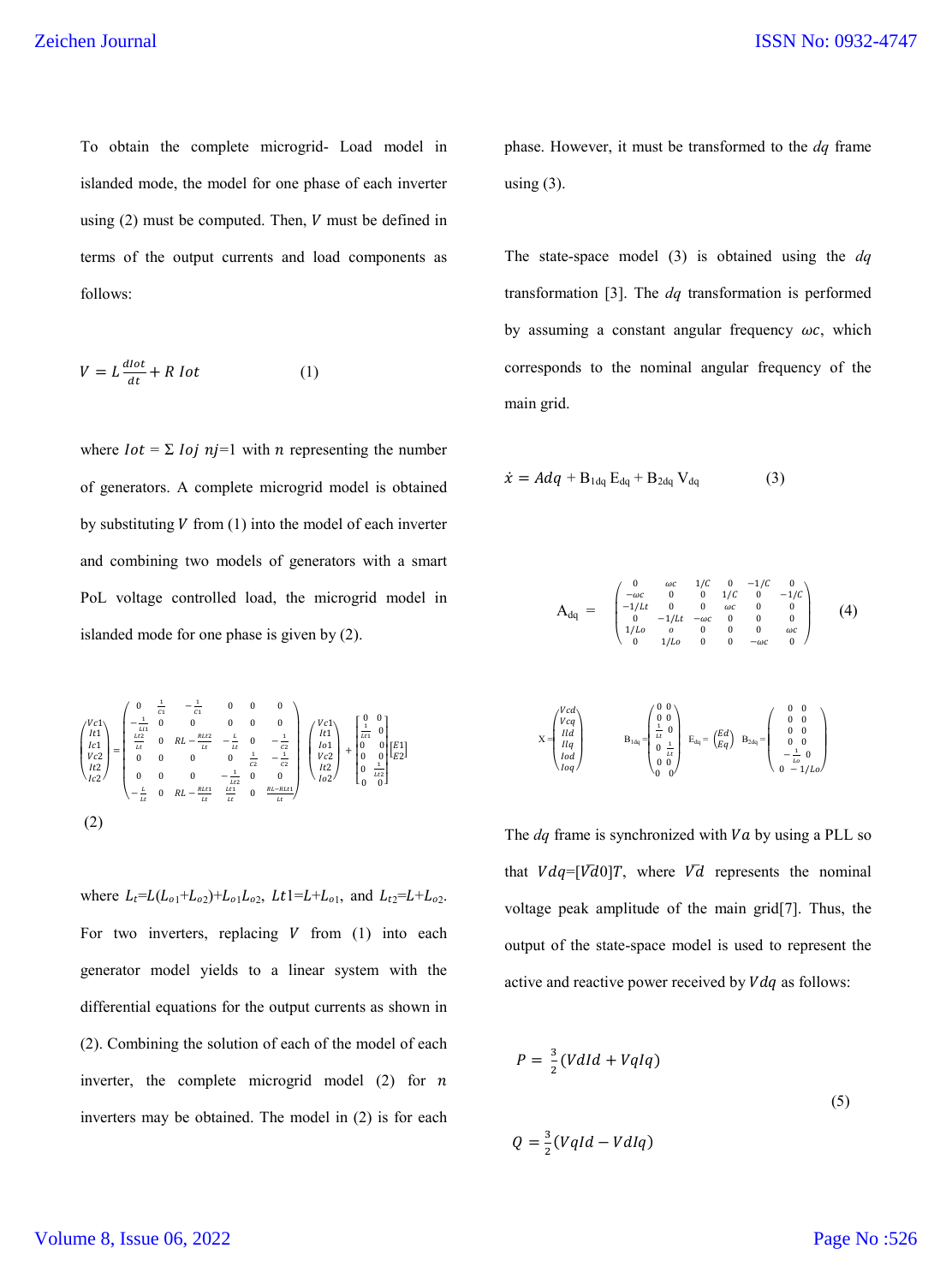To obtain the complete microgrid- Load model in islanded mode, the model for one phase of each inverter using  $(2)$  must be computed. Then, *V* must be defined in terms of the output currents and load components as follows:

$$
V = L \frac{diot}{dt} + R \, Iot \tag{1}
$$

where  $Iot = \sum Ioj$  nj=1 with *n* representing the number of generators. A complete microgrid model is obtained by substituting  $V$  from (1) into the model of each inverter and combining two models of generators with a smart PoL voltage controlled load, the microgrid model in islanded mode for one phase is given by (2).

$$
\begin{pmatrix} Vct \\ tt \\ \mathbf{I}t \\ Vc2 \\ tcz \\ \mathbf{I}z \end{pmatrix} = \begin{pmatrix} 0 & \frac{1}{c1} & -\frac{1}{c1} & 0 & 0 & 0 \\ -\frac{1}{ut1} & 0 & 0 & 0 & 0 & 0 \\ \frac{t\alpha}{u} & 0 & RL - \frac{\kappa \mu z}{u} & -\frac{L}{ut} & 0 & -\frac{1}{c2} \\ 0 & 0 & 0 & 0 & \frac{1}{c2} & -\frac{1}{c2} \\ 0 & 0 & 0 & -\frac{1}{uc2} & 0 & 0 \\ -\frac{L}{ut} & 0 & RL - \frac{\kappa \mu t}{u} & \frac{\kappa \mu}{u} & 0 & \frac{\kappa \mu - \kappa \mu t}{u} \end{pmatrix} \begin{pmatrix} Vct \\ \mathbf{I}t \\ \mathbf{I}t \\ Vct \\ \mathbf{I}t \\ \mathbf{I}t \\ \mathbf{I}t \\ \mathbf{I}t \\ \mathbf{I}t \\ \mathbf{I}t \\ \mathbf{I}t \\ \mathbf{I}t \\ \mathbf{I}t \\ \mathbf{I}t \\ \mathbf{I}t \\ \mathbf{I}t \\ \mathbf{I}t \\ \mathbf{I}t \\ \mathbf{I}t \\ \mathbf{I}t \\ \mathbf{I}t \\ \mathbf{I}t \\ \mathbf{I}t \\ \mathbf{I}t \\ \mathbf{I}t \\ \mathbf{I}t \\ \mathbf{I}t \\ \mathbf{I}t \\ \mathbf{I}t \\ \mathbf{I}t \\ \mathbf{I}t \\ \mathbf{I}t \\ \mathbf{I}t \\ \mathbf{I}t \\ \mathbf{I}t \\ \mathbf{I}t \\ \mathbf{I}t \\ \mathbf{I}t \\ \mathbf{I}t \\ \mathbf{I}t \\ \mathbf{I}t \\ \mathbf{I}t \\ \mathbf{I}t \\ \mathbf{I}t \\ \mathbf{I}t \\ \mathbf{I}t \\ \mathbf{I}t \\ \mathbf{I}t \\ \mathbf{I}t \\ \mathbf{I}t \\ \mathbf{I}t \\ \mathbf{I}t \\ \mathbf{I}t \\ \mathbf{I}t \\ \mathbf{I}t \\ \mathbf{I}t \\ \mathbf{I}t \\ \mathbf{I}t \\ \mathbf{I}t \\ \mathbf{I}t \\ \mathbf{I}t \\ \mathbf{I}
$$

where  $L_t = L(L_{o1} + L_{o2}) + L_{o1}L_{o2}$ ,  $Lt = L + L_{o1}$ , and  $L_{t2} = L + L_{o2}$ . For two inverters, replacing  $V$  from  $(1)$  into each generator model yields to a linear system with the differential equations for the output currents as shown in (2). Combining the solution of each of the model of each inverter, the complete microgrid model  $(2)$  for *n* inverters may be obtained. The model in (2) is for each

phase. However, it must be transformed to the *dq* frame using  $(3)$ .

The state-space model (3) is obtained using the *dq*  transformation [3]. The *dq* transformation is performed by assuming a constant angular frequency  $\omega c$ , which corresponds to the nominal angular frequency of the main grid.

$$
\dot{x} = Adq + B_{1dq} E_{dq} + B_{2dq} V_{dq}
$$
 (3)

$$
A_{dq} = \begin{pmatrix} 0 & \omega c & 1/c & 0 & -1/c & 0 \\ -\omega c & 0 & 0 & 1/c & 0 & -1/c \\ -1/t & 0 & 0 & \omega c & 0 & 0 \\ 0 & -1/t & -\omega c & 0 & 0 & 0 \\ 1/L & 0 & 0 & 0 & 0 & \omega c \\ 0 & 1/L & 0 & 0 & -\omega c & 0 \end{pmatrix}
$$
 (4)

$$
\zeta = \begin{pmatrix} Vcd \\ Vcq \\ lld \\ lld \\ lld \\ \hline \end{pmatrix} \hspace{1cm} \text{B}_{1dq} = \begin{pmatrix} 0 & 0 \\ 0 & 0 \\ \frac{1}{\iota t} & 0 \\ 0 & \frac{1}{\iota t} \\ 0 & 0 \\ 0 & 0 \end{pmatrix} \hspace{1cm} \text{E}_{dq} = \begin{pmatrix} Ed \\ d \\ Eq \\ Eq \end{pmatrix} \hspace{1cm} \text{B}_{2dq} = \begin{pmatrix} 0 & 0 \\ 0 & 0 \\ 0 & 0 \\ -\frac{1}{\iota \sigma} & 0 \\ 0 & -1/\iota \sigma \end{pmatrix}
$$

 $\overline{\mathbf{y}}$ 

The *dq* frame is synchronized with *Va* by using a PLL so that  $Vdq = [\overline{Vd}0]T$ , where  $\overline{Vd}$  represents the nominal voltage peak amplitude of the main grid[7]. Thus, the output of the state-space model is used to represent the active and reactive power received by  $V dq$  as follows:

$$
P = \frac{3}{2}(VdId + VqIq)
$$
  
\n
$$
Q = \frac{3}{2}(VqId - VdIq)
$$
\n(5)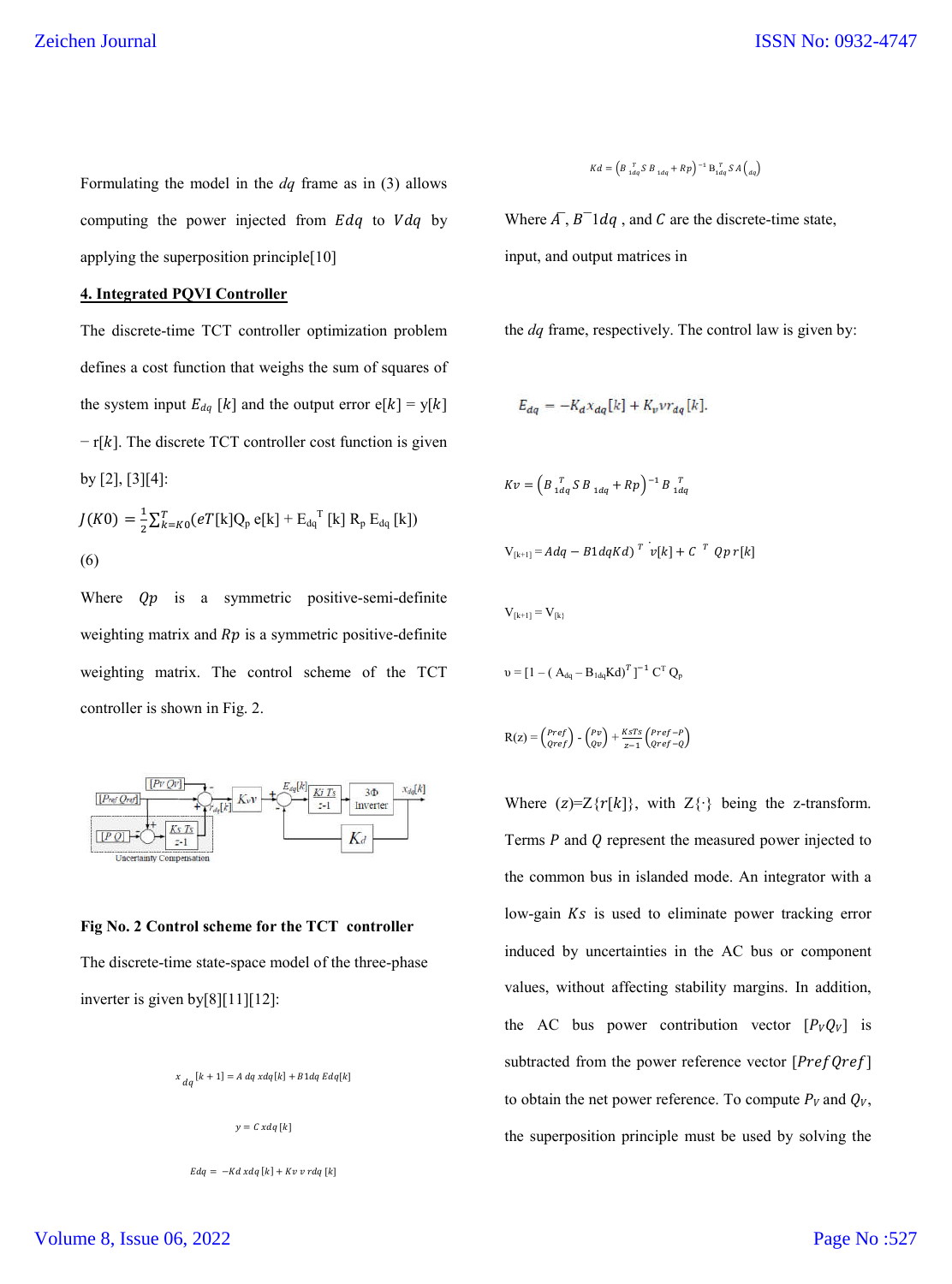Formulating the model in the *dq* frame as in (3) allows computing the power injected from  $Edq$  to  $Vdq$  by applying the superposition principle[10]

#### **4. Integrated PQVI Controller**

The discrete-time TCT controller optimization problem defines a cost function that weighs the sum of squares of the system input  $E_{dq} [k]$  and the output error  $e[k] = y[k]$  $-$  r[ $k$ ]. The discrete TCT controller cost function is given by [2], [3][4]:

$$
J(K0) = \frac{1}{2} \sum_{k=K0}^{T} (eT[k]Q_p e[k] + E_{dq}^{T}[k] R_p E_{dq}[k])
$$
  
(6)

Where  $Qp$  is a symmetric positive-semi-definite weighting matrix and  $Rp$  is a symmetric positive-definite weighting matrix. The control scheme of the TCT controller is shown in Fig. 2.



# **Fig No. 2 Control scheme for the TCT controller** The discrete-time state-space model of the three-phase

inverter is given by[8][11][12]:

$$
x
$$
  
 $dq$   
 $[k+1]=A\ dq\ x dq[k]+B1dq\ Edq[k]$   

$$
y=C\ x dq\ [k]
$$

 $Edq = - K d x dq [k] + Kv v r dq [k]$ 

$$
Kd = \left(B_{1dq}^T S B_{1dq} + Rp\right)^{-1} B_{1dq}^T S A_{dq}
$$

Where  $\overline{A}$ ,  $\overline{B}$  and  $C$  are the discrete-time state, input, and output matrices in

the *dq* frame, respectively. The control law is given by:

$$
E_{dq} = -K_d x_{dq}[k] + K_v v r_{dq}[k].
$$

$$
Kv = \left(B_{1dq}^T S B_{1dq} + Rp\right)^{-1} B_{1dq}^T
$$

$$
V_{[k+1]} = Adq - B1dqKd)^T v[k] + C^T Qp r[k]
$$

 $V_{[k+1]} = V_{[k]}$ 

$$
v = [1 - (A_{dq} - B_{1dq}Kd)^T]^{-1} C^T Q_p
$$

$$
R(z) = \begin{pmatrix} Pref \\ Qref \end{pmatrix} - \begin{pmatrix} Py \\ Qv \end{pmatrix} + \frac{KSTs}{z-1} \begin{pmatrix} Pref-P \\ Qref-Q \end{pmatrix}
$$

Where  $(z)=Z\{r[k]\}$ , with  $Z\{\cdot\}$  being the z-transform. Terms  $P$  and  $Q$  represent the measured power injected to the common bus in islanded mode. An integrator with a low-gain  $Ks$  is used to eliminate power tracking error induced by uncertainties in the AC bus or component values, without affecting stability margins. In addition, the AC bus power contribution vector  $[P_V Q_V]$  is subtracted from the power reference vector  $[PrefixQref]$ to obtain the net power reference. To compute  $P_V$  and  $Q_V$ , the superposition principle must be used by solving the

Volume 8, Issue 06, 2022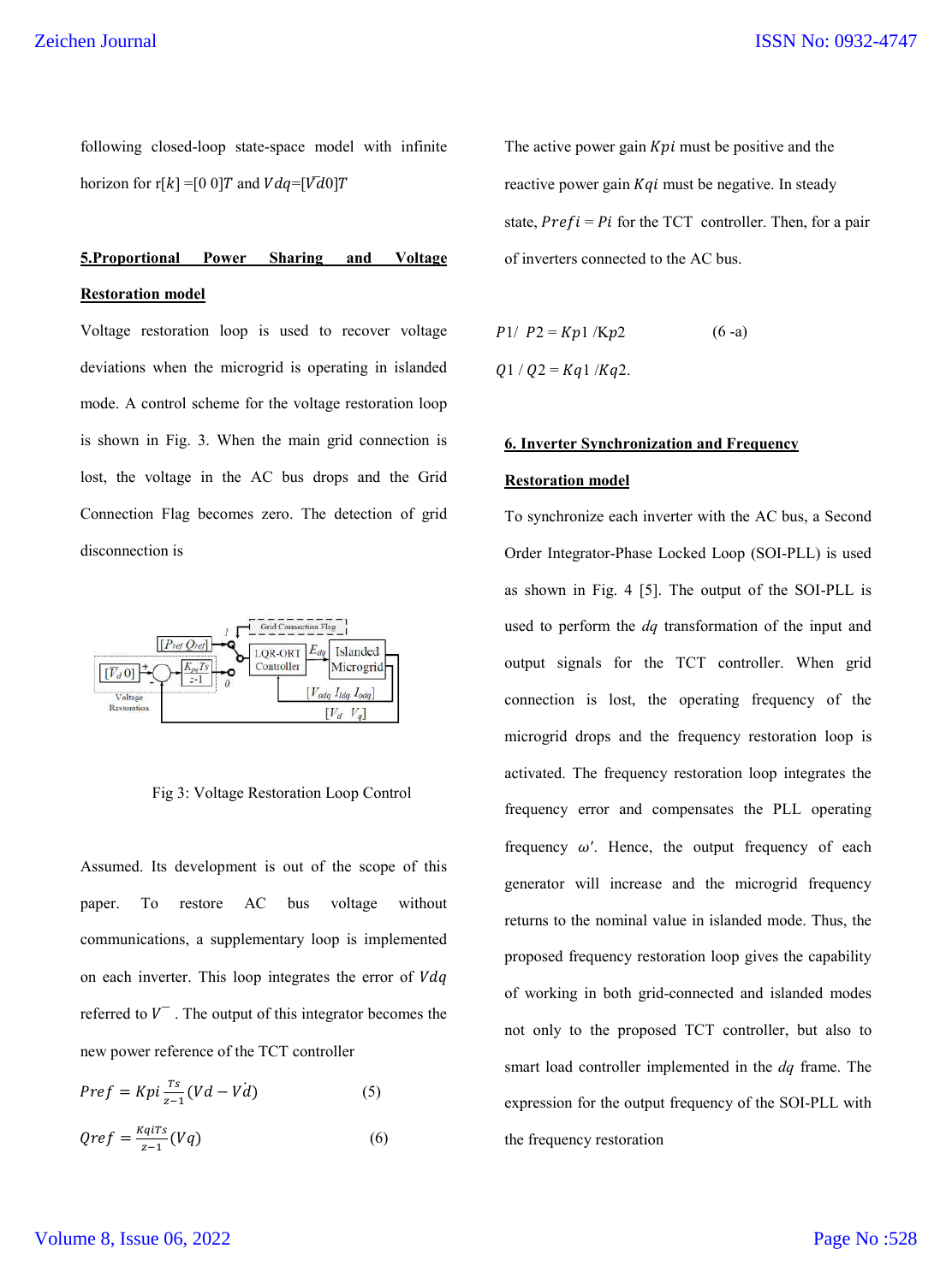following closed-loop state-space model with infinite horizon for r[k] =[0 0]T and  $Vdq = [V\bar{d}0]T$ 

# **5.Proportional Power Sharing and Voltage**

**Restoration model**

Voltage restoration loop is used to recover voltage deviations when the microgrid is operating in islanded mode. A control scheme for the voltage restoration loop is shown in Fig. 3. When the main grid connection is lost, the voltage in the AC bus drops and the Grid Connection Flag becomes zero. The detection of grid disconnection is



Fig 3: Voltage Restoration Loop Control

Assumed. Its development is out of the scope of this paper. To restore AC bus voltage without communications, a supplementary loop is implemented on each inverter. This loop integrates the error of  $V dq$ referred to  $V^-$ . The output of this integrator becomes the new power reference of the TCT controller

$$
Pref = Kpi \frac{rs}{z-1} (Vd - Vd) \tag{5}
$$

$$
Qref = \frac{KqiTs}{z-1}(Vq)
$$
 (6)

The active power gain  $Kpi$  must be positive and the reactive power gain  $Kqi$  must be negative. In steady state,  $Prefix = Pi$  for the TCT controller. Then, for a pair of inverters connected to the AC bus.

P1/
$$
P2 = Kp1 / Kp2
$$
 (6-a)  
Q1 / Q2 = Kq1 / Kq2.

#### **6. Inverter Synchronization and Frequency**

#### **Restoration model**

To synchronize each inverter with the AC bus, a Second Order Integrator-Phase Locked Loop (SOI-PLL) is used as shown in Fig. 4 [5]. The output of the SOI-PLL is used to perform the *dq* transformation of the input and output signals for the TCT controller. When grid connection is lost, the operating frequency of the microgrid drops and the frequency restoration loop is activated. The frequency restoration loop integrates the frequency error and compensates the PLL operating frequency  $\omega'$ . Hence, the output frequency of each generator will increase and the microgrid frequency returns to the nominal value in islanded mode. Thus, the proposed frequency restoration loop gives the capability of working in both grid-connected and islanded modes not only to the proposed TCT controller, but also to smart load controller implemented in the *dq* frame. The expression for the output frequency of the SOI-PLL with the frequency restoration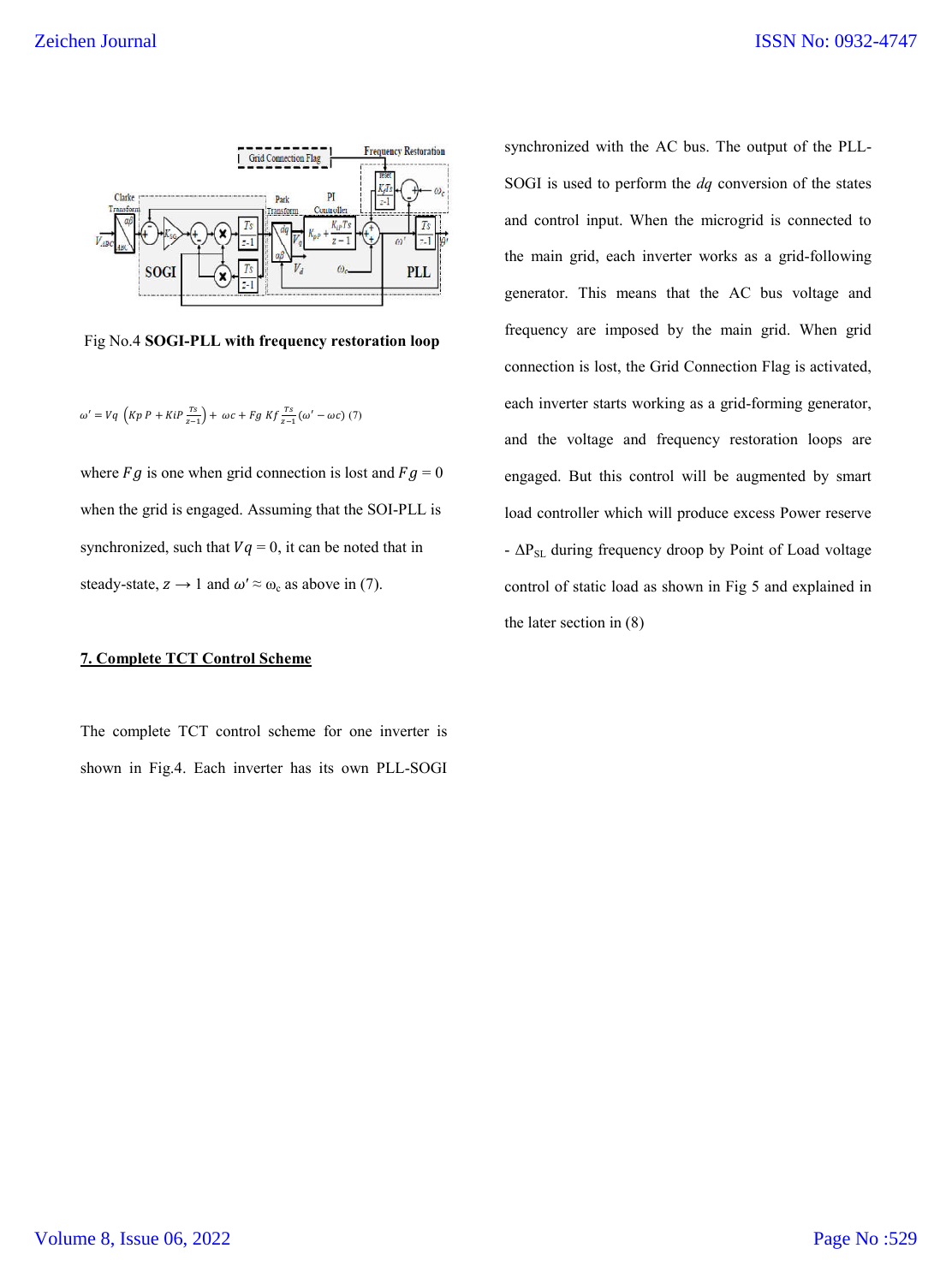

Fig No.4 **SOGI-PLL with frequency restoration loop**

 $\omega' = Vq \left( Kp P + K i P \frac{Ts}{z-1} \right) + \omega c + Fg K f \frac{Ts}{z-1} (\omega' - \omega c)$  (7)

where  $Fg$  is one when grid connection is lost and  $Fg = 0$ when the grid is engaged. Assuming that the SOI-PLL is synchronized, such that  $Vq = 0$ , it can be noted that in steady-state,  $z \to 1$  and  $\omega' \approx \omega_c$  as above in (7).

#### **7. Complete TCT Control Scheme**

The complete TCT control scheme for one inverter is shown in Fig.4. Each inverter has its own PLL-SOGI

synchronized with the AC bus. The output of the PLL-SOGI is used to perform the *dq* conversion of the states and control input. When the microgrid is connected to the main grid, each inverter works as a grid-following generator. This means that the AC bus voltage and frequency are imposed by the main grid. When grid connection is lost, the Grid Connection Flag is activated, each inverter starts working as a grid-forming generator, and the voltage and frequency restoration loops are engaged. But this control will be augmented by smart load controller which will produce excess Power reserve -  $\Delta P_{SL}$  during frequency droop by Point of Load voltage control of static load as shown in Fig 5 and explained in the later section in (8)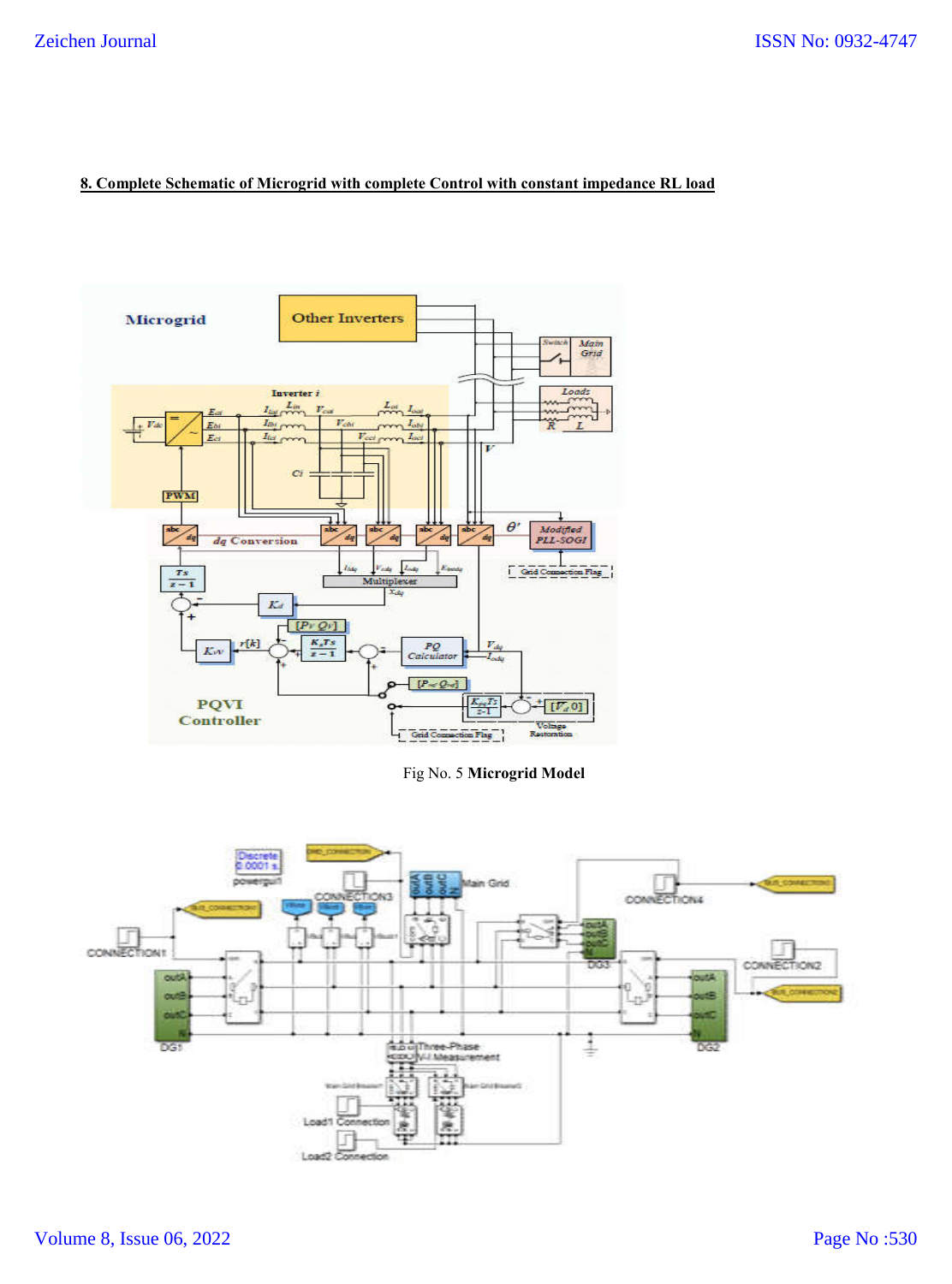#### **8. Complete Schematic of Microgrid with complete Control with constant impedance RL load**



Fig No. 5 **Microgrid Model**

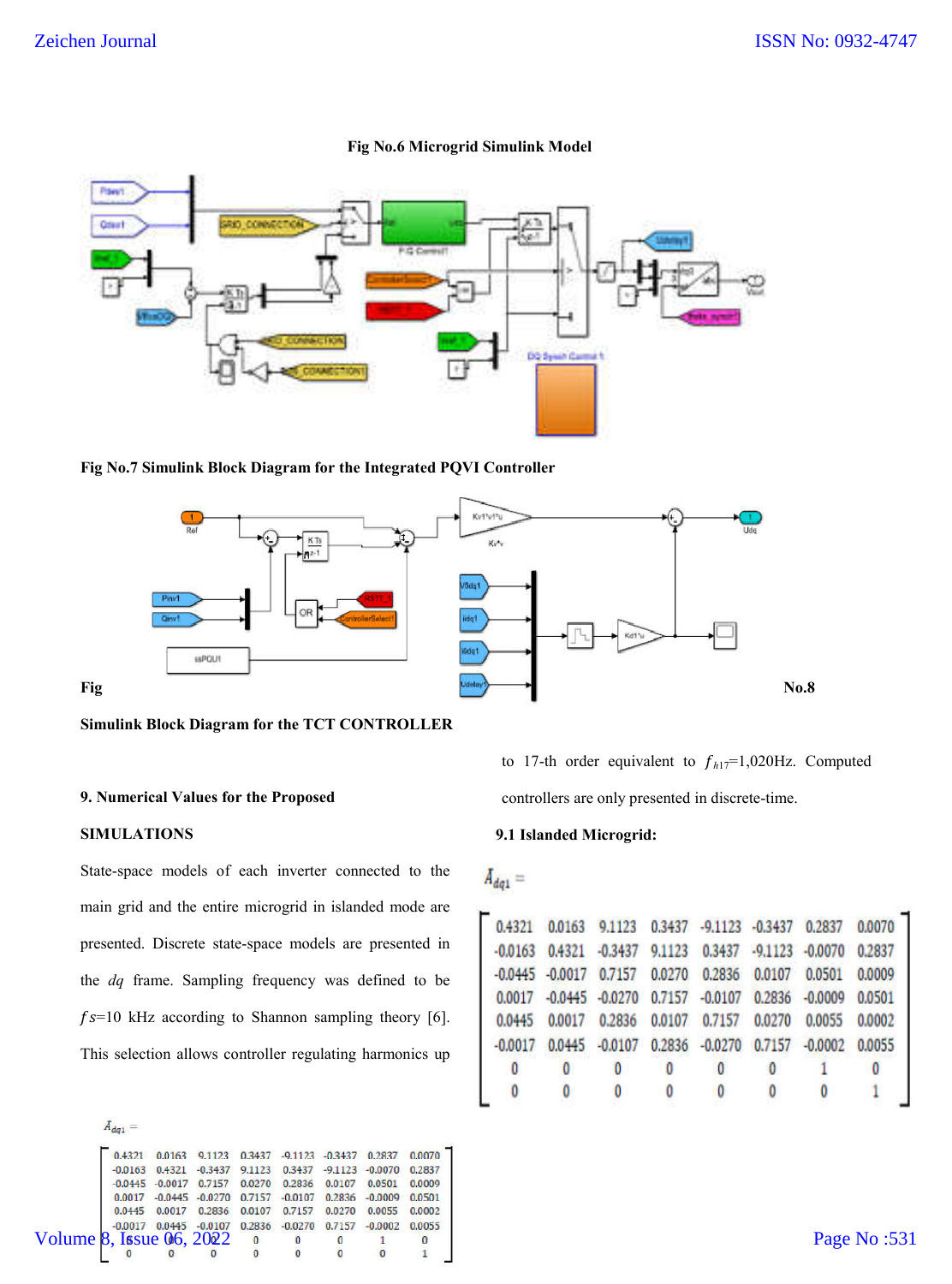

#### **Fig No.6 Microgrid Simulink Model**





**Simulink Block Diagram for the TCT CONTROLLER**

#### **9. Numerical Values for the Proposed**

#### **SIMULATIONS**

V<sub>o</sub>

State-space models of each inverter connected to the main grid and the entire microgrid in islanded mode are presented. Discrete state-space models are presented in the *dq* frame. Sampling frequency was defined to be  $fs=10$  kHz according to Shannon sampling theory [6]. This selection allows controller regulating harmonics up

| 0.4321                                     | 0.0163 9.1123 0.3437 -9.1123 -0.3437 0.2837                        |  |        | 0.0070 |  |
|--------------------------------------------|--------------------------------------------------------------------|--|--------|--------|--|
|                                            | -0.0163 0.4321 -0.3437 9.1123 0.3437 -9.1123 -0.0070 0.2837        |  |        |        |  |
|                                            | $-0.0445$ $-0.0017$ $0.7157$ $0.0270$ $0.2836$ $0.0107$ $0.0501$   |  |        | 0.0009 |  |
|                                            | 0.0017 -0.0445 -0.0270 0.7157 -0.0107 0.2836 -0.0009 0.0501        |  |        |        |  |
|                                            | 0.0445 0.0017 0.2836 0.0107 0.7157 0.0270                          |  | 0.0055 | 0.0002 |  |
|                                            | $-0.0017$ $0.0445$ $-0.0107$ $0.2836$ $-0.0270$ $0.7157$ $-0.0002$ |  |        | 0.0055 |  |
| $l$ lume $\beta$ , Issue 06, 2022 $\alpha$ |                                                                    |  |        |        |  |
|                                            |                                                                    |  |        |        |  |
|                                            |                                                                    |  |        |        |  |

to 17-th order equivalent to  $f_{h17}=1,020$ Hz. Computed controllers are only presented in discrete-time.

#### **9.1 Islanded Microgrid:**

$$
\bar{A}_{d\sigma 1} =
$$

| $-0.0163$ $0.4321$ $-0.3437$ $9.1123$ $0.3437$ $-9.1123$ $-0.0070$ $0.2837$ |                |                |   |   |
|-----------------------------------------------------------------------------|----------------|----------------|---|---|
| -0.0445 -0.0017 0.7157 0.0270 0.2836 0.0107 0.0501 0.0009                   |                |                |   |   |
| 0.0017 -0.0445 -0.0270 0.7157 -0.0107 0.2836 -0.0009 0.0501                 |                |                |   |   |
| 0.0445 0.0017 0.2836 0.0107 0.7157 0.0270 0.0055 0.0002                     |                |                |   |   |
| -0.0017 0.0445 -0.0107 0.2836 -0.0270 0.7157 -0.0002 0.0055                 |                |                |   |   |
| $\mathbf{0}$ 0<br>0<br>$^{\circ}$                                           | $\overline{0}$ | $\mathbf{0}$ 1 |   | 0 |
| 0<br>0<br>0<br>0                                                            | 0              | 0              | 0 |   |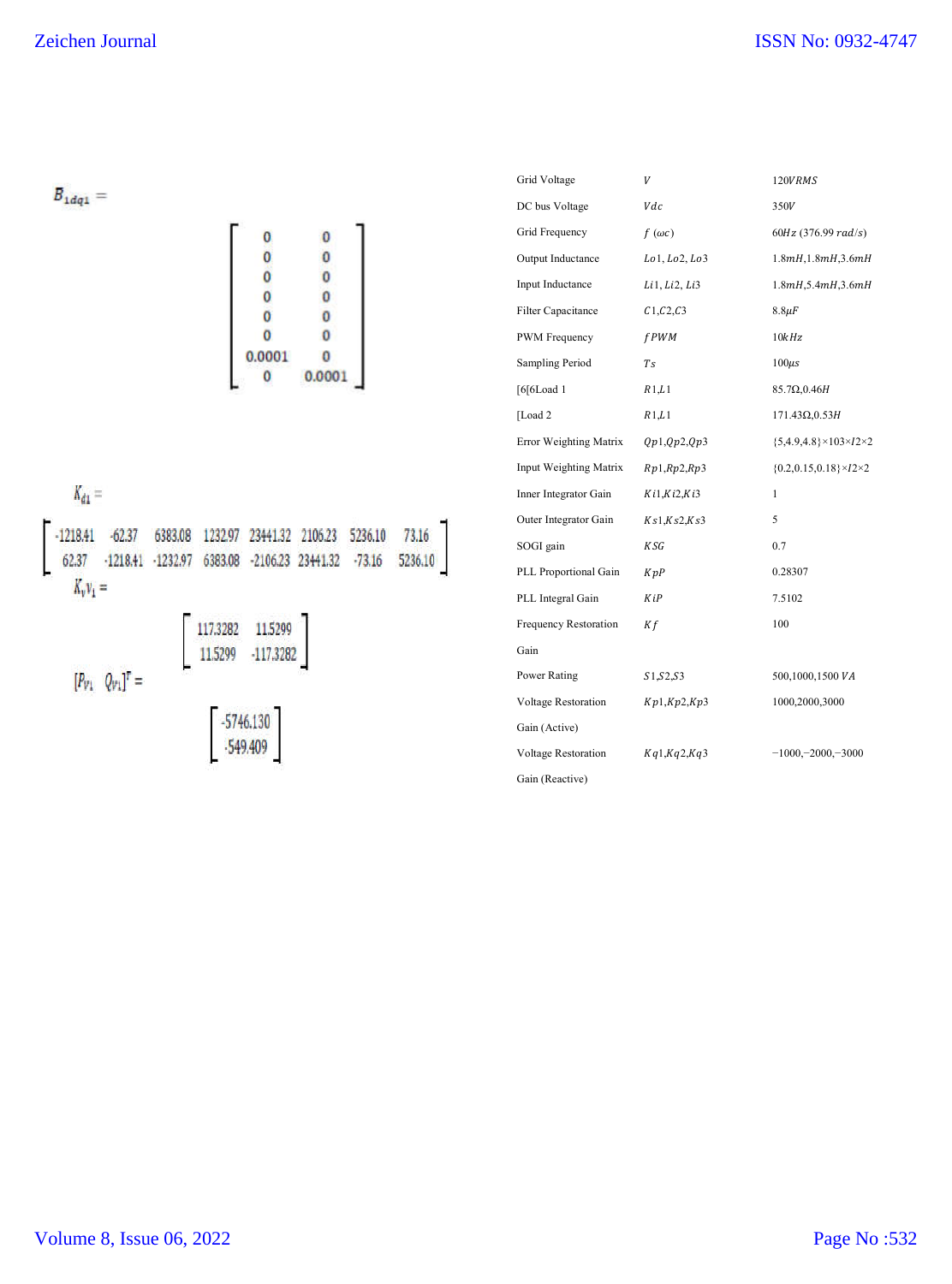$\overline{B}_{1dq1} =$ 

| 0      |        |
|--------|--------|
| 0      |        |
| U      |        |
| ı      |        |
| 0      |        |
| ō      |        |
| 0.0001 |        |
|        | 0.0001 |

 $K_{d1} =$ 

ĥ.

|              |                            |  |                                                                                   |  | $\begin{array}{ ccccccccccccccccccc }\hline -1218.41 & -62.37 & 6383.08 & 1232.97 & 23441.32 & 2106.23 & 5236.10 & 73.16 \\\hline \end{array}$ |
|--------------|----------------------------|--|-----------------------------------------------------------------------------------|--|------------------------------------------------------------------------------------------------------------------------------------------------|
|              |                            |  |                                                                                   |  | 62.37 -1218.41 -1232.97 6383.08 -2106.23 23441.32 -73.16 5236.10                                                                               |
| $K_v v_1 =$  |                            |  |                                                                                   |  |                                                                                                                                                |
|              |                            |  | $\begin{array}{ccc} 117.3282 & 11.5299 \\ 11.5299 & \text{-}117.3282 \end{array}$ |  |                                                                                                                                                |
|              |                            |  |                                                                                   |  |                                                                                                                                                |
| $\mathbf{r}$ | $\Lambda$ $1$ <sup>T</sup> |  |                                                                                   |  |                                                                                                                                                |

 $-5746.130$ <br> $-549.409$ 

 $[P_{V1} Q_{V1}]^T =$ 

| Grid Voltage                  | V             | 120VRMS                                     |
|-------------------------------|---------------|---------------------------------------------|
| DC bus Voltage                | Vdc           | 350V                                        |
| Grid Frequency                | $f(\omega c)$ | $60Hz$ (376.99 $rad/s$ )                    |
| Output Inductance             | Lo1, Lo2, Lo3 | 1.8mH, 1.8mH, 3.6mH                         |
| <b>Input Inductance</b>       | Li1, Li2, Li3 | 1.8mH, 5.4mH, 3.6mH                         |
| Filter Capacitance            | C1, C2, C3    | $8.8\mu F$                                  |
| <b>PWM</b> Frequency          | <b>fPWM</b>   | 10kHz                                       |
| Sampling Period               | Τs            | $100\mu s$                                  |
| $[6] 6$ Load 1                | R1,L1         | $85.7\Omega$ , 0.46H                        |
| [Load 2                       | R1,L1         | $171.43 \Omega_{0}.53 H$                    |
| Error Weighting Matrix        | Qp1,Qp2,Qp3   | ${5,4.9,4.8} \times 103 \times I2 \times 2$ |
| <b>Input Weighting Matrix</b> | Rp1, Rp2, Rp3 | ${0.2, 0.15, 0.18} \times I2 \times 2$      |
| Inner Integrator Gain         | Ki1,Ki2,Ki3   | 1                                           |
| Outer Integrator Gain         | Ks1,Ks2,Ks3   | 5                                           |
| SOGI gain                     | <b>KSG</b>    | 0.7                                         |
| PLL Proportional Gain         | KpP           | 0.28307                                     |
| PLL Integral Gain             | KiP           | 7.5102                                      |
| Frequency Restoration         | Kf            | 100                                         |
| Gain                          |               |                                             |
| Power Rating                  | S1, S2, S3    | 500,1000,1500 VA                            |
| Voltage Restoration           | Kp1,Kp2,Kp3   | 1000,2000,3000                              |
| Gain (Active)                 |               |                                             |
| Voltage Restoration           | Kq1,Kq2,Kq3   | $-1000,-2000,-3000$                         |
| Gain (Reactive)               |               |                                             |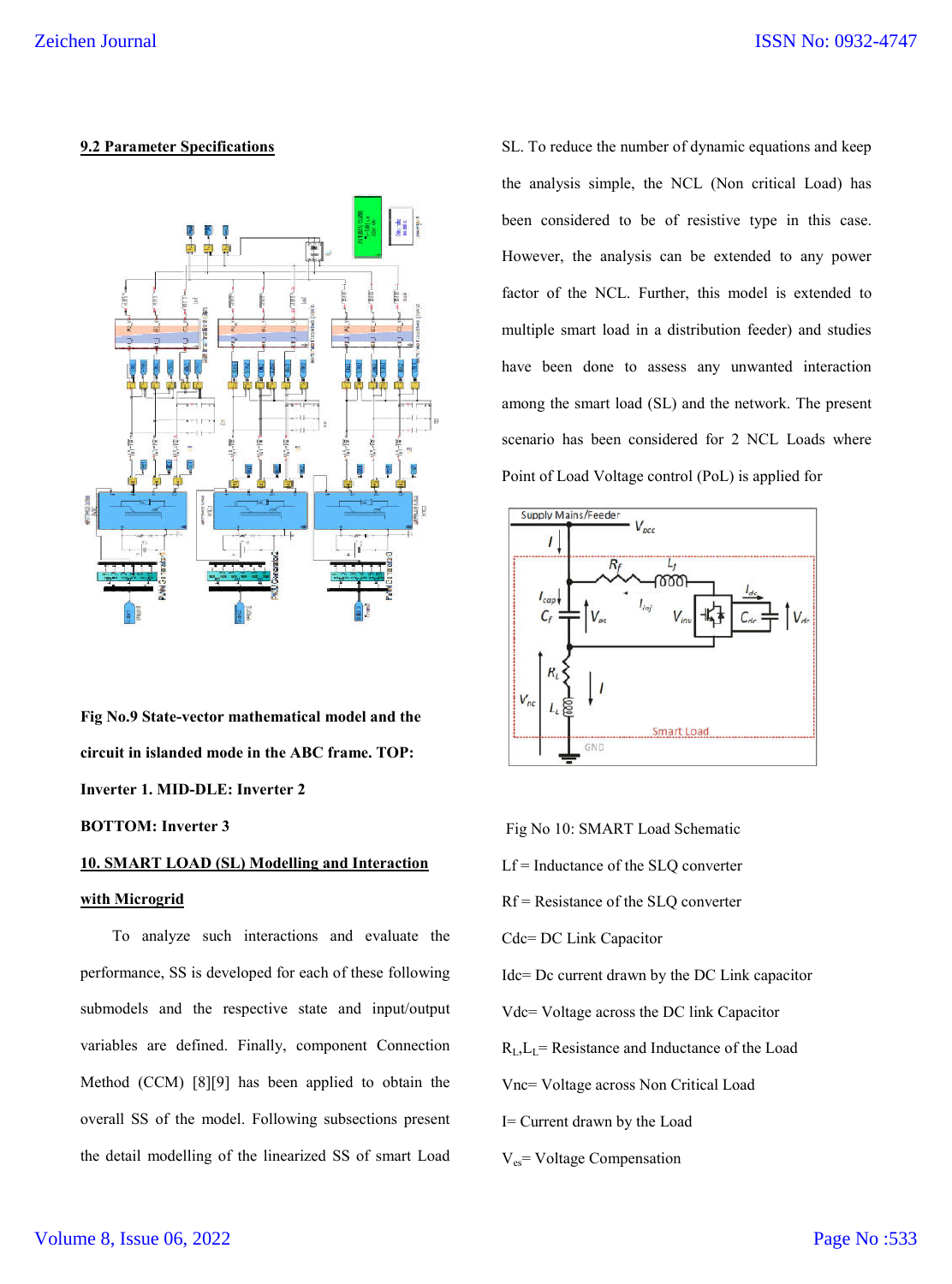#### **9.2 Parameter Specifications**



**Fig No.9 State-vector mathematical model and the circuit in islanded mode in the ABC frame. TOP: Inverter 1. MID-DLE: Inverter 2** 

**BOTTOM: Inverter 3**

#### **10. SMART LOAD (SL) Modelling and Interaction**

#### **with Microgrid**

 To analyze such interactions and evaluate the performance, SS is developed for each of these following submodels and the respective state and input/output variables are defined. Finally, component Connection Method (CCM) [8][9] has been applied to obtain the overall SS of the model. Following subsections present the detail modelling of the linearized SS of smart Load SL. To reduce the number of dynamic equations and keep the analysis simple, the NCL (Non critical Load) has been considered to be of resistive type in this case. However, the analysis can be extended to any power factor of the NCL. Further, this model is extended to multiple smart load in a distribution feeder) and studies have been done to assess any unwanted interaction among the smart load (SL) and the network. The present scenario has been considered for 2 NCL Loads where Point of Load Voltage control (PoL) is applied for



Fig No 10: SMART Load Schematic Lf = Inductance of the SLQ converter Rf = Resistance of the SLQ converter Cdc= DC Link Capacitor Idc= Dc current drawn by the DC Link capacitor Vdc= Voltage across the DC link Capacitor  $R_L$ ,  $L_L$  = Resistance and Inductance of the Load Vnc= Voltage across Non Critical Load I= Current drawn by the Load Ves= Voltage Compensation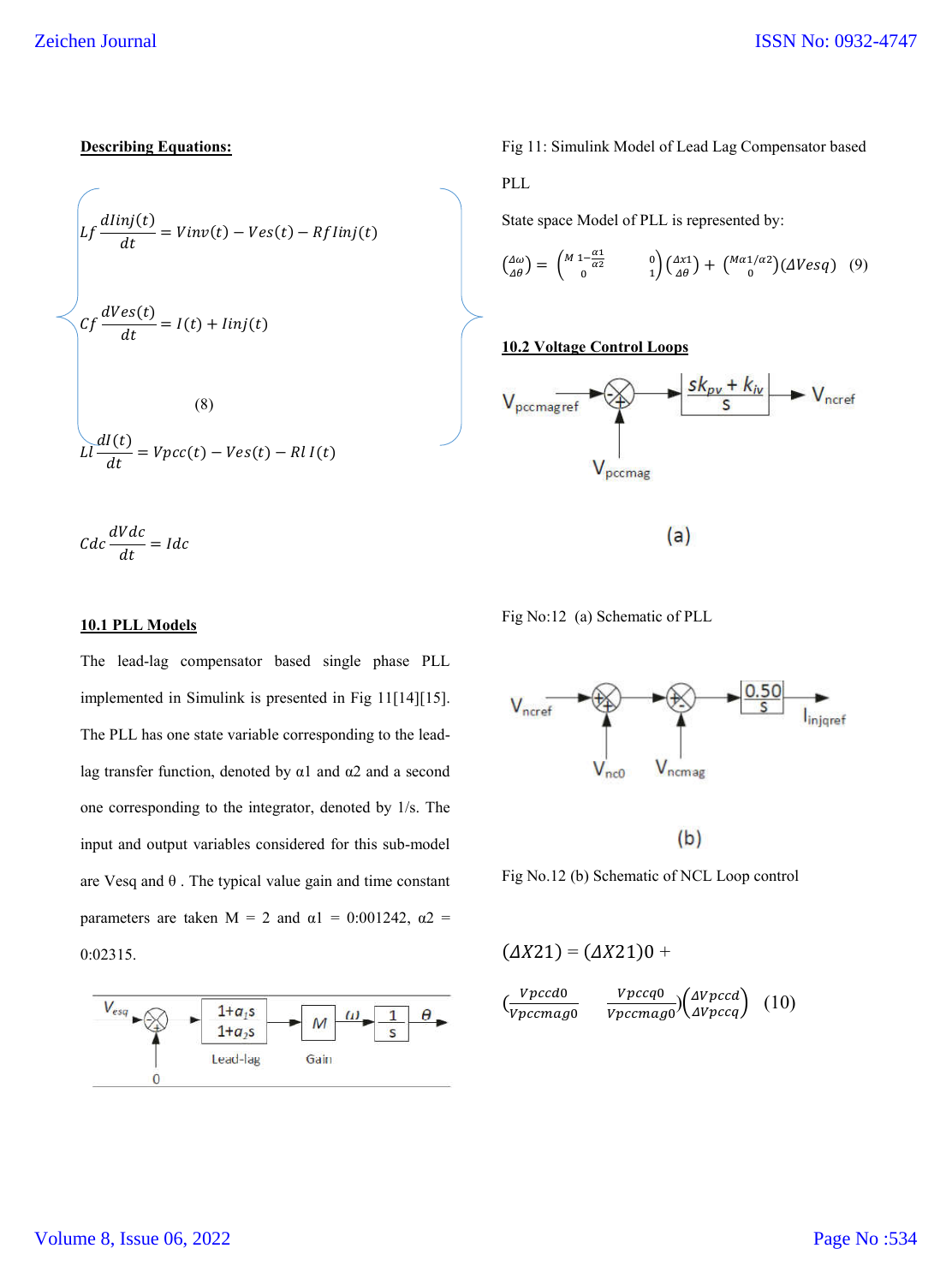#### **Describing Equations:**

$$
Lf \frac{d\text{linj}(t)}{dt} = \text{Vinv}(t) - \text{Ves}(t) - R\text{flinj}(t)
$$
\n
$$
Cf \frac{d\text{Ves}(t)}{dt} = I(t) + \text{linj}(t)
$$
\n(8)\n
$$
LI \frac{dI(t)}{dt} = \text{Vpc}(t) - \text{Ves}(t) - R\text{I}(t)
$$

 $Cdc \frac{dVdc}{dt} = Idc$ 

#### **10.1 PLL Models**

The lead-lag compensator based single phase PLL implemented in Simulink is presented in Fig 11[14][15]. The PLL has one state variable corresponding to the leadlag transfer function, denoted by α1 and α2 and a second one corresponding to the integrator, denoted by 1/s. The input and output variables considered for this sub-model are Vesq and θ . The typical value gain and time constant parameters are taken  $M = 2$  and  $\alpha l = 0:001242$ ,  $\alpha 2 =$ 0:02315.



Fig 11: Simulink Model of Lead Lag Compensator based PLL

State space Model of PLL is represented by:

$$
\begin{pmatrix} \Delta\omega \\ \Delta\theta \end{pmatrix} = \begin{pmatrix} M & 1 - \frac{\alpha_1}{\alpha_2} & 0 \\ 0 & 1 \end{pmatrix} \begin{pmatrix} \Delta x_1 \\ \Delta \theta \end{pmatrix} + \begin{pmatrix} M\alpha_1/\alpha_2 \\ 0 \end{pmatrix} (A V e s q) \quad (9)
$$

#### **10.2 Voltage Control Loops**



Fig No:12 (a) Schematic of PLL



 $(b)$ 

Fig No.12 (b) Schematic of NCL Loop control

 $(\Delta X21) = (\Delta X21)0 +$ 

$$
\left(\frac{Vpccd0}{Vpccmag0} - \frac{Vpccq0}{Vpccmag0}\right) \left(\begin{matrix} AVpccd\\ AVpccq \end{matrix}\right) (10)
$$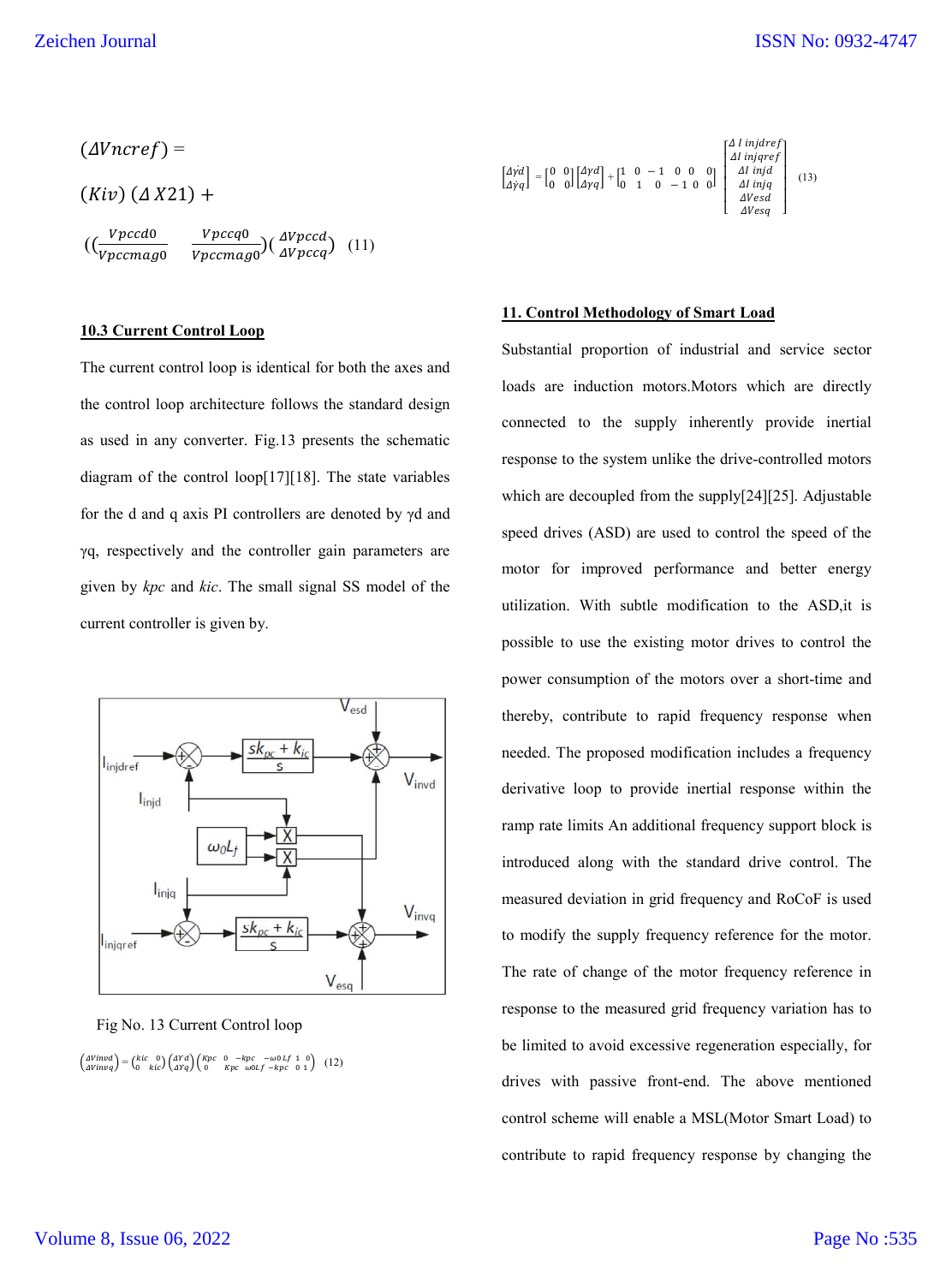$$
(\Delta Vncref) =
$$
  
(Kiv) ( $\Delta X21$ ) +  
(( $\frac{Vpccd0}{Vpccmag0}$   $\frac{Vpccq0}{Vpccmag0}$ )( $\frac{\Delta Vpccd}{\Delta Vpccq}$ ) (11)

#### **10.3 Current Control Loop**

The current control loop is identical for both the axes and the control loop architecture follows the standard design as used in any converter. Fig.13 presents the schematic diagram of the control loop[17][18]. The state variables for the d and q axis PI controllers are denoted by γd and γq, respectively and the controller gain parameters are given by *kpc* and *kic*. The small signal SS model of the current controller is given by.



Fig No. 13 Current Control loop

 $\int_{Alvino}^{\Delta Vinvd}$  $\Delta Vinva$  =  $\begin{pmatrix} kic & 0 \\ 0 & kic \end{pmatrix} \begin{pmatrix} A'd \\ A'q \end{pmatrix} \begin{pmatrix} Kpc & 0 & -kpc & -\omega 0 Lf & 1 & 0 \\ 0 & Kpc & \omega 0 Lf & -kpc & 0 & 1 \end{pmatrix}$  (12)

$$
\begin{bmatrix} \Delta\dot{\gamma d} \\ \Delta\dot{\gamma}q \end{bmatrix} = \begin{bmatrix} 0 & 0 \\ 0 & 0 \end{bmatrix} \begin{bmatrix} \Delta\gamma d \\ \Delta\gamma q \end{bmatrix} + \begin{bmatrix} 1 & 0 & -1 & 0 & 0 & 0 \\ 0 & 1 & 0 & -1 & 0 & 0 \\ 0 & 0 & -1 & 0 & 0 & 0 \end{bmatrix} \begin{bmatrix} \Delta I \text{ inject} \\ \Delta I \text{ inj} \\ \Delta I \text{ inj} \\ \Delta \text{ Yesq} \\ \Delta \text{Yesq} \end{bmatrix} \quad (13)
$$

#### **11. Control Methodology of Smart Load**

Substantial proportion of industrial and service sector loads are induction motors.Motors which are directly connected to the supply inherently provide inertial response to the system unlike the drive-controlled motors which are decoupled from the supply[24][25]. Adjustable speed drives (ASD) are used to control the speed of the motor for improved performance and better energy utilization. With subtle modification to the ASD,it is possible to use the existing motor drives to control the power consumption of the motors over a short-time and thereby, contribute to rapid frequency response when needed. The proposed modification includes a frequency derivative loop to provide inertial response within the ramp rate limits An additional frequency support block is introduced along with the standard drive control. The measured deviation in grid frequency and RoCoF is used to modify the supply frequency reference for the motor. The rate of change of the motor frequency reference in response to the measured grid frequency variation has to be limited to avoid excessive regeneration especially, for drives with passive front-end. The above mentioned control scheme will enable a MSL(Motor Smart Load) to contribute to rapid frequency response by changing the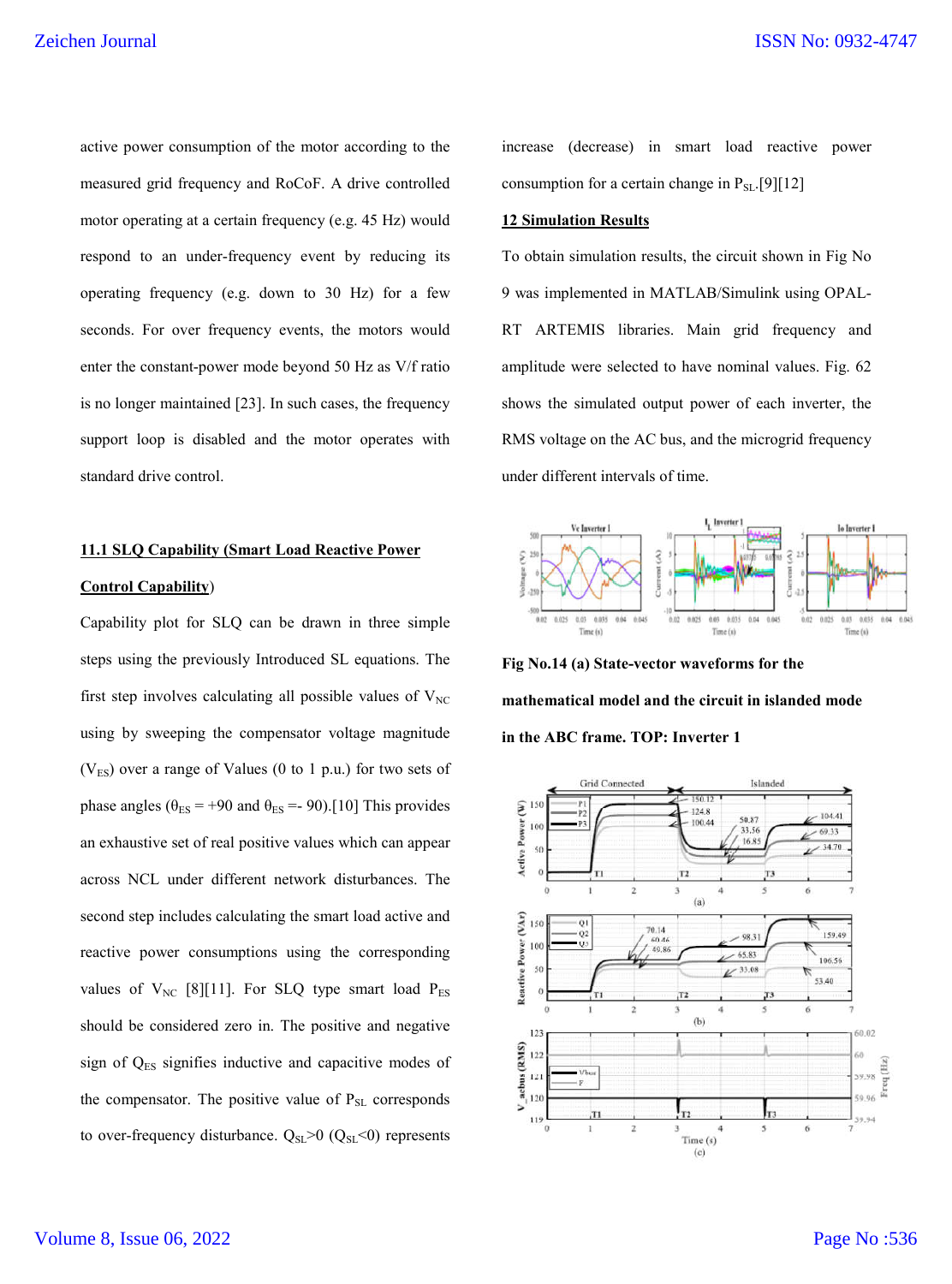active power consumption of the motor according to the measured grid frequency and RoCoF. A drive controlled motor operating at a certain frequency (e.g. 45 Hz) would respond to an under-frequency event by reducing its operating frequency (e.g. down to 30 Hz) for a few seconds. For over frequency events, the motors would enter the constant-power mode beyond 50 Hz as V/f ratio is no longer maintained [23]. In such cases, the frequency support loop is disabled and the motor operates with standard drive control.

## **11.1 SLQ Capability (Smart Load Reactive Power Control Capability**)

Capability plot for SLQ can be drawn in three simple steps using the previously Introduced SL equations. The first step involves calculating all possible values of  $V_{NC}$ using by sweeping the compensator voltage magnitude ( $V_{ES}$ ) over a range of Values (0 to 1 p.u.) for two sets of phase angles ( $\theta_{ES}$  = +90 and  $\theta_{ES}$  = - 90).[10] This provides an exhaustive set of real positive values which can appear across NCL under different network disturbances. The second step includes calculating the smart load active and reactive power consumptions using the corresponding values of  $V_{NC}$  [8][11]. For SLQ type smart load  $P_{ES}$ should be considered zero in. The positive and negative sign of Q<sub>ES</sub> signifies inductive and capacitive modes of the compensator. The positive value of  $P_{SL}$  corresponds to over-frequency disturbance.  $Q_{SL}$ >0 ( $Q_{SL}$ <0) represents

increase (decrease) in smart load reactive power consumption for a certain change in  $P_{SL}$ .[9][12]

#### **12 Simulation Results**

To obtain simulation results, the circuit shown in Fig No 9 was implemented in MATLAB/Simulink using OPAL-RT ARTEMIS libraries. Main grid frequency and amplitude were selected to have nominal values. Fig. 62 shows the simulated output power of each inverter, the RMS voltage on the AC bus, and the microgrid frequency under different intervals of time.



**Fig No.14 (a) State-vector waveforms for the mathematical model and the circuit in islanded mode in the ABC frame. TOP: Inverter 1**

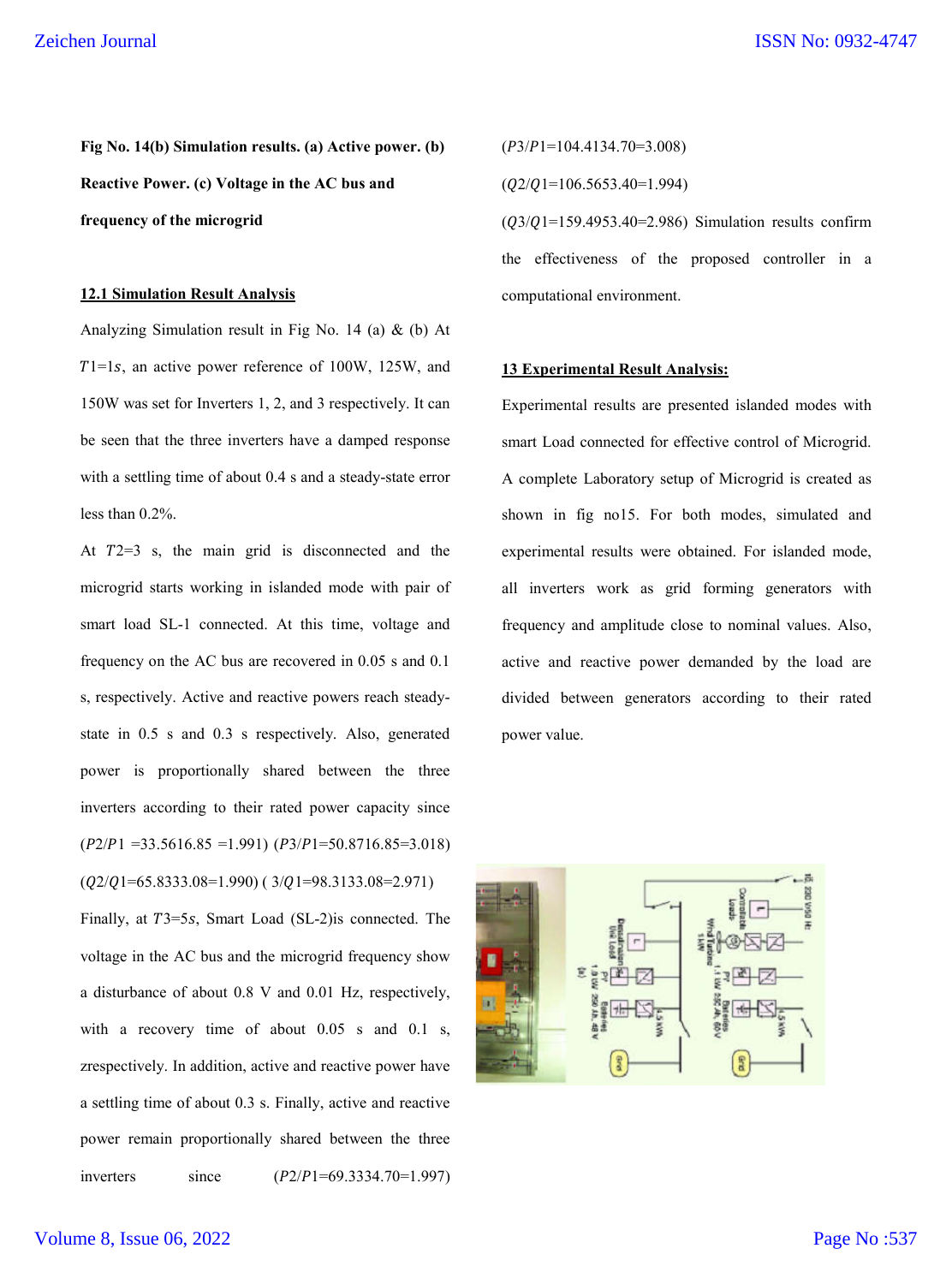**Fig No. 14(b) Simulation results. (a) Active power. (b) Reactive Power. (c) Voltage in the AC bus and frequency of the microgrid**

#### **12.1 Simulation Result Analysis**

Analyzing Simulation result in Fig No. 14 (a) & (b) At  $T1=1s$ , an active power reference of 100W, 125W, and 150W was set for Inverters 1, 2, and 3 respectively. It can be seen that the three inverters have a damped response with a settling time of about 0.4 s and a steady-state error less than 0.2%.

At  $T2=3$  s, the main grid is disconnected and the microgrid starts working in islanded mode with pair of smart load SL-1 connected. At this time, voltage and frequency on the AC bus are recovered in 0.05 s and 0.1 s, respectively. Active and reactive powers reach steadystate in 0.5 s and 0.3 s respectively. Also, generated power is proportionally shared between the three inverters according to their rated power capacity since  $(P2/P1 = 33.5616.85 = 1.991) (P3/P1 = 50.8716.85 = 3.018)$ 

 $(Q2/Q1=65.8333.08=1.990) (3/Q1=98.3133.08=2.971)$ 

Finally, at  $T3=5s$ , Smart Load (SL-2) is connected. The voltage in the AC bus and the microgrid frequency show a disturbance of about 0.8 V and 0.01 Hz, respectively, with a recovery time of about 0.05 s and 0.1 s, zrespectively. In addition, active and reactive power have a settling time of about 0.3 s. Finally, active and reactive power remain proportionally shared between the three inverters since  $(P2/P1=69.3334.70=1.997)$ 

 $(P3/P1=104.4134.70=3.008)$  $(Q2/Q1=106.5653.40=1.994)$  $(0,301)$ =159.4953.40=2.986) Simulation results confirm the effectiveness of the proposed controller in a computational environment.

#### **13 Experimental Result Analysis:**

Experimental results are presented islanded modes with smart Load connected for effective control of Microgrid. A complete Laboratory setup of Microgrid is created as shown in fig no15. For both modes, simulated and experimental results were obtained. For islanded mode, all inverters work as grid forming generators with frequency and amplitude close to nominal values. Also, active and reactive power demanded by the load are divided between generators according to their rated power value.

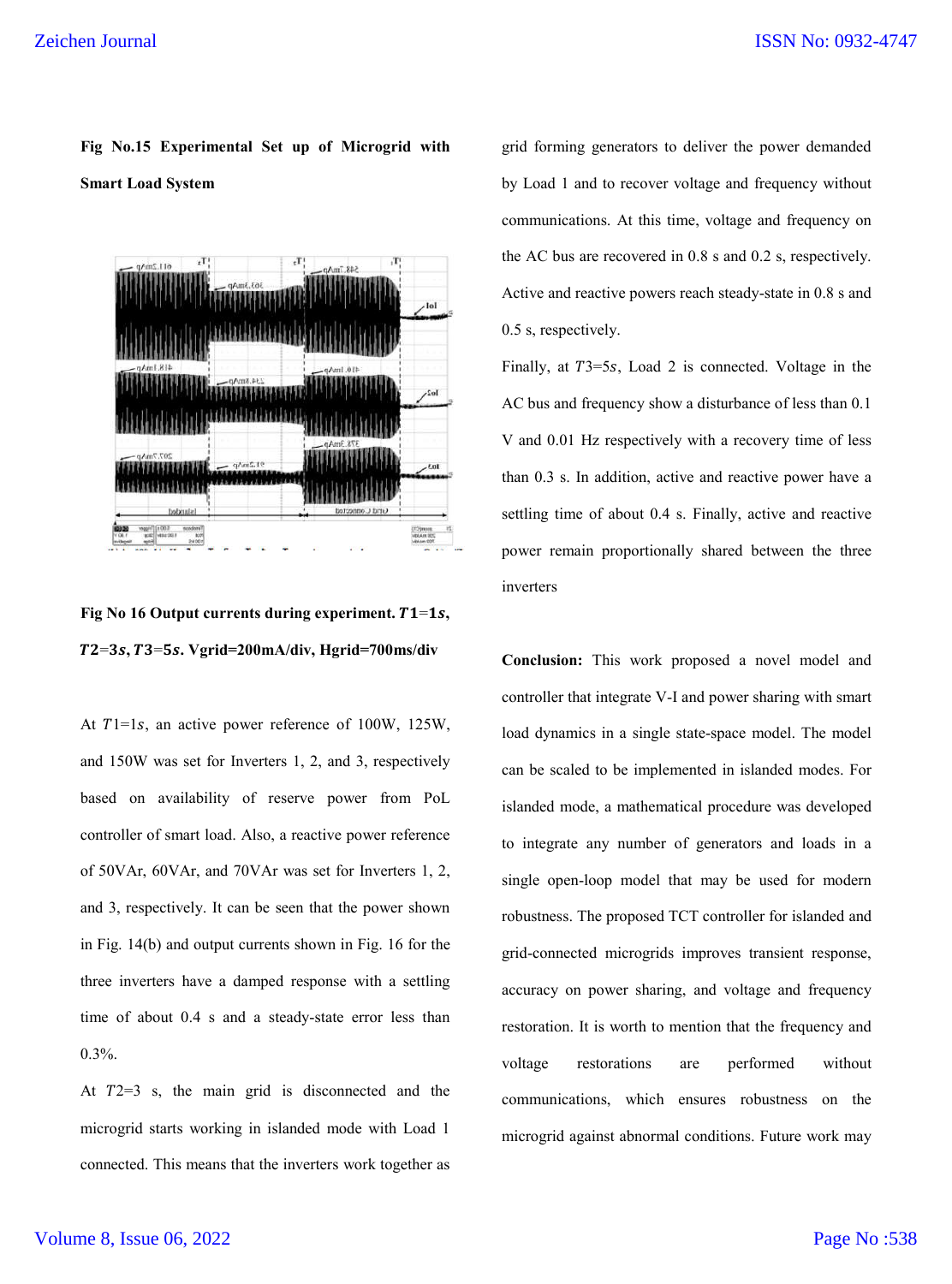**Fig No.15 Experimental Set up of Microgrid with Smart Load System**



## Fig No 16 Output currents during experiment.  $T1=1s$ , =**,** =**. Vgrid=200mA/div, Hgrid=700ms/div**

At  $T1=1s$ , an active power reference of 100W, 125W, and 150W was set for Inverters 1, 2, and 3, respectively based on availability of reserve power from PoL controller of smart load. Also, a reactive power reference of 50VAr, 60VAr, and 70VAr was set for Inverters 1, 2, and 3, respectively. It can be seen that the power shown in Fig. 14(b) and output currents shown in Fig. 16 for the three inverters have a damped response with a settling time of about 0.4 s and a steady-state error less than  $0.3\%$ .

At  $T2=3$  s, the main grid is disconnected and the microgrid starts working in islanded mode with Load 1 connected. This means that the inverters work together as grid forming generators to deliver the power demanded by Load 1 and to recover voltage and frequency without communications. At this time, voltage and frequency on the AC bus are recovered in 0.8 s and 0.2 s, respectively. Active and reactive powers reach steady-state in 0.8 s and 0.5 s, respectively.

Finally, at  $T3=5s$ , Load 2 is connected. Voltage in the AC bus and frequency show a disturbance of less than 0.1 V and 0.01 Hz respectively with a recovery time of less than 0.3 s. In addition, active and reactive power have a settling time of about 0.4 s. Finally, active and reactive power remain proportionally shared between the three inverters

**Conclusion:** This work proposed a novel model and controller that integrate V-I and power sharing with smart load dynamics in a single state-space model. The model can be scaled to be implemented in islanded modes. For islanded mode, a mathematical procedure was developed to integrate any number of generators and loads in a single open-loop model that may be used for modern robustness. The proposed TCT controller for islanded and grid-connected microgrids improves transient response, accuracy on power sharing, and voltage and frequency restoration. It is worth to mention that the frequency and voltage restorations are performed without communications, which ensures robustness on the microgrid against abnormal conditions. Future work may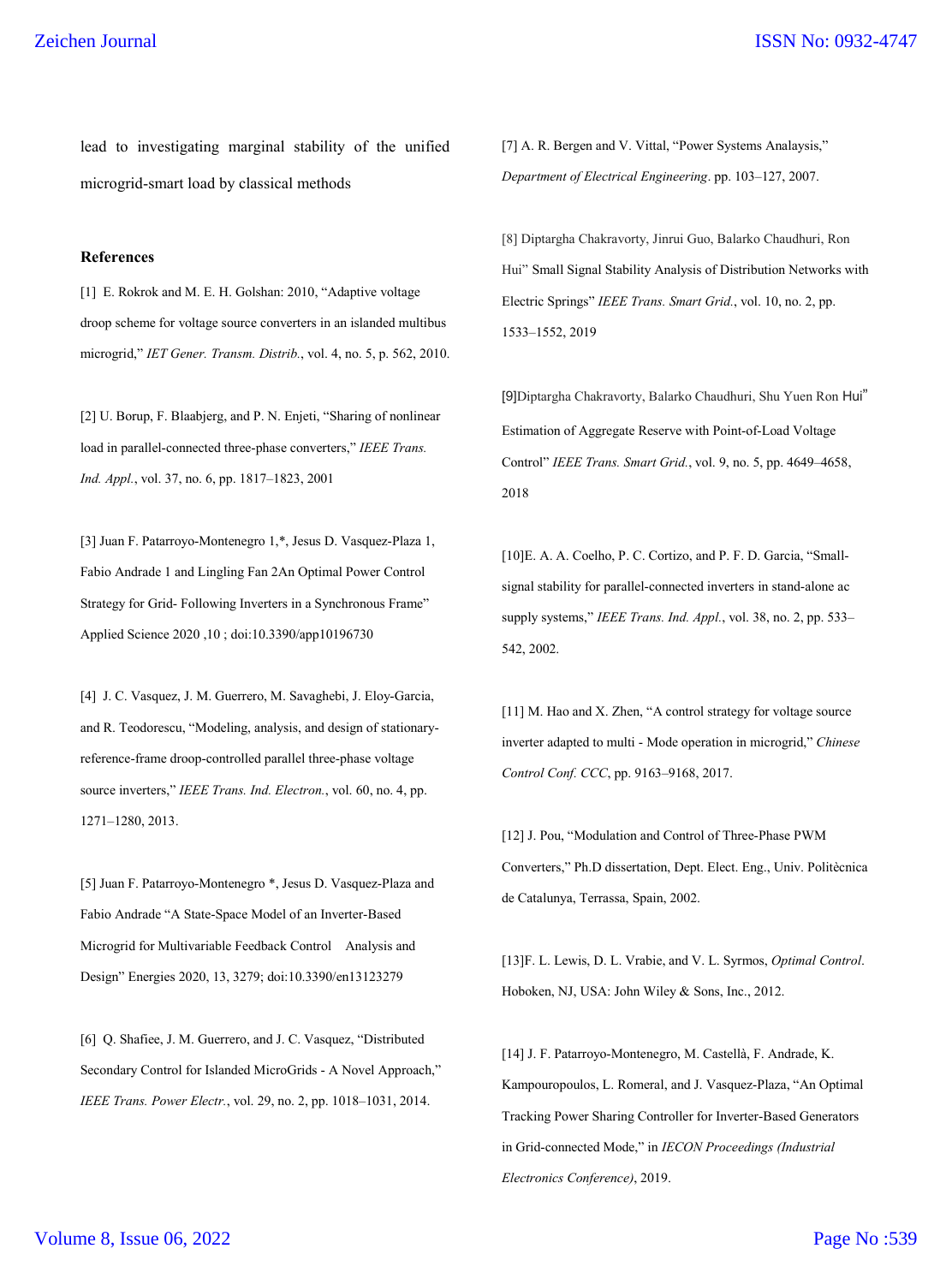lead to investigating marginal stability of the unified microgrid-smart load by classical methods

#### **References**

[1] E. Rokrok and M. E. H. Golshan: 2010, "Adaptive voltage droop scheme for voltage source converters in an islanded multibus microgrid," *IET Gener. Transm. Distrib.*, vol. 4, no. 5, p. 562, 2010.

[2] U. Borup, F. Blaabjerg, and P. N. Enjeti, "Sharing of nonlinear load in parallel-connected three-phase converters," *IEEE Trans. Ind. Appl.*, vol. 37, no. 6, pp. 1817–1823, 2001

[3] Juan F. Patarroyo‐Montenegro 1,\*, Jesus D. Vasquez‐Plaza 1, Fabio Andrade 1 and Lingling Fan 2An Optimal Power Control Strategy for Grid‐ Following Inverters in a Synchronous Frame" Applied Science 2020 ,10 ; doi:10.3390/app10196730

[4] J. C. Vasquez, J. M. Guerrero, M. Savaghebi, J. Eloy-Garcia, and R. Teodorescu, "Modeling, analysis, and design of stationaryreference-frame droop-controlled parallel three-phase voltage source inverters," *IEEE Trans. Ind. Electron.*, vol. 60, no. 4, pp. 1271–1280, 2013.

[5] Juan F. Patarroyo‐Montenegro \*, Jesus D. Vasquez‐Plaza and Fabio Andrade "A State‐Space Model of an Inverter‐Based Microgrid for Multivariable Feedback Control Analysis and Design" Energies 2020, 13, 3279; doi:10.3390/en13123279

[6] Q. Shafiee, J. M. Guerrero, and J. C. Vasquez, "Distributed Secondary Control for Islanded MicroGrids - A Novel Approach," *IEEE Trans. Power Electr.*, vol. 29, no. 2, pp. 1018–1031, 2014.

[7] A. R. Bergen and V. Vittal, "Power Systems Analaysis," *Department of Electrical Engineering*. pp. 103–127, 2007.

[8] Diptargha Chakravorty, Jinrui Guo, Balarko Chaudhuri, Ron Hui" Small Signal Stability Analysis of Distribution Networks with Electric Springs" *IEEE Trans. Smart Grid.*, vol. 10, no. 2, pp. 1533–1552, 2019

[9]Diptargha Chakravorty, Balarko Chaudhuri, Shu Yuen Ron Hui" Estimation of Aggregate Reserve with Point-of-Load Voltage Control" *IEEE Trans. Smart Grid.*, vol. 9, no. 5, pp. 4649–4658, 2018

[10]E. A. A. Coelho, P. C. Cortizo, and P. F. D. Garcia, "Smallsignal stability for parallel-connected inverters in stand-alone ac supply systems," *IEEE Trans. Ind. Appl.*, vol. 38, no. 2, pp. 533– 542, 2002.

[11] M. Hao and X. Zhen, "A control strategy for voltage source inverter adapted to multi - Mode operation in microgrid," *Chinese Control Conf. CCC*, pp. 9163–9168, 2017.

[12] J. Pou, "Modulation and Control of Three-Phase PWM Converters," Ph.D dissertation, Dept. Elect. Eng., Univ. Politècnica de Catalunya, Terrassa, Spain, 2002.

[13]F. L. Lewis, D. L. Vrabie, and V. L. Syrmos, *Optimal Control*. Hoboken, NJ, USA: John Wiley & Sons, Inc., 2012.

[14] J. F. Patarroyo-Montenegro, M. Castellà, F. Andrade, K. Kampouropoulos, L. Romeral, and J. Vasquez-Plaza, "An Optimal Tracking Power Sharing Controller for Inverter-Based Generators in Grid-connected Mode," in *IECON Proceedings (Industrial Electronics Conference)*, 2019.